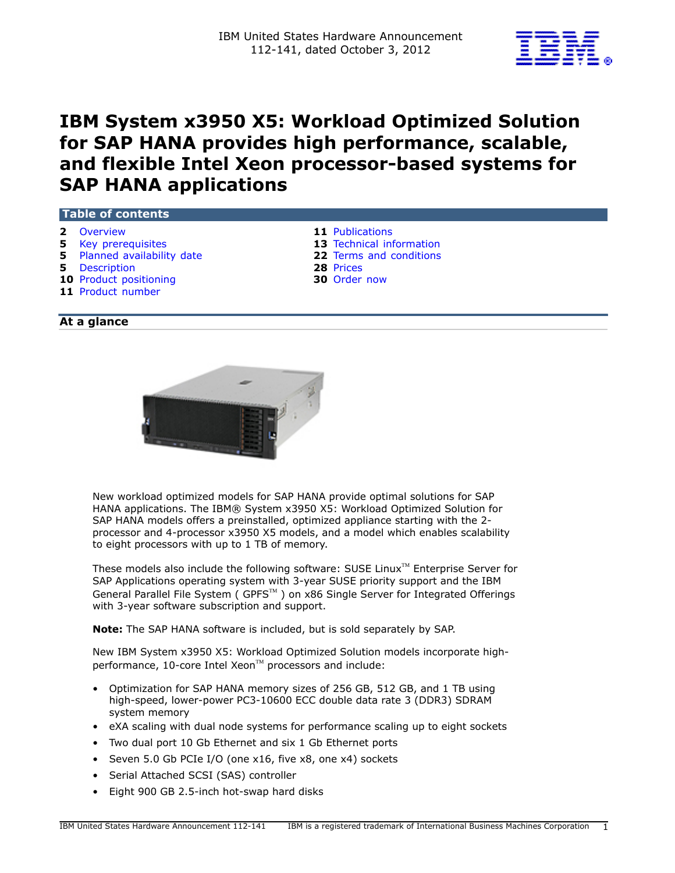

# **IBM System x3950 X5: Workload Optimized Solution for SAP HANA provides high performance, scalable, and flexible Intel Xeon processor-based systems for SAP HANA applications**

## **Table of contents**

- 
- 
- **5** [Planned availability date](#page-4-1) **22** [Terms and conditions](#page-21-0)
- **5** [Description](#page-4-2) **28** [Prices](#page-27-0)
- **10** [Product positioning](#page-9-0) **30** [Order now](#page-29-0)
- **11** [Product number](#page-10-1)
- **2** [Overview](#page-1-0) **11** [Publications](#page-10-0)
- **5** [Key prerequisites](#page-4-0) **13** [Technical information](#page-12-0) 
	-
	-
	-

## **At a glance**



New workload optimized models for SAP HANA provide optimal solutions for SAP HANA applications. The IBM® System x3950 X5: Workload Optimized Solution for SAP HANA models offers a preinstalled, optimized appliance starting with the 2 processor and 4-processor x3950 X5 models, and a model which enables scalability to eight processors with up to 1 TB of memory.

These models also include the following software: SUSE Linux $T^M$  Enterprise Server for SAP Applications operating system with 3-year SUSE priority support and the IBM General Parallel File System ( GPFS™) on x86 Single Server for Integrated Offerings with 3-year software subscription and support.

**Note:** The SAP HANA software is included, but is sold separately by SAP.

New IBM System x3950 X5: Workload Optimized Solution models incorporate highperformance, 10-core Intel Xeon™ processors and include:

- Optimization for SAP HANA memory sizes of 256 GB, 512 GB, and 1 TB using high-speed, lower-power PC3-10600 ECC double data rate 3 (DDR3) SDRAM system memory
- eXA scaling with dual node systems for performance scaling up to eight sockets
- Two dual port 10 Gb Ethernet and six 1 Gb Ethernet ports
- Seven 5.0 Gb PCIe I/O (one x16, five x8, one x4) sockets
- Serial Attached SCSI (SAS) controller
- Eight 900 GB 2.5-inch hot-swap hard disks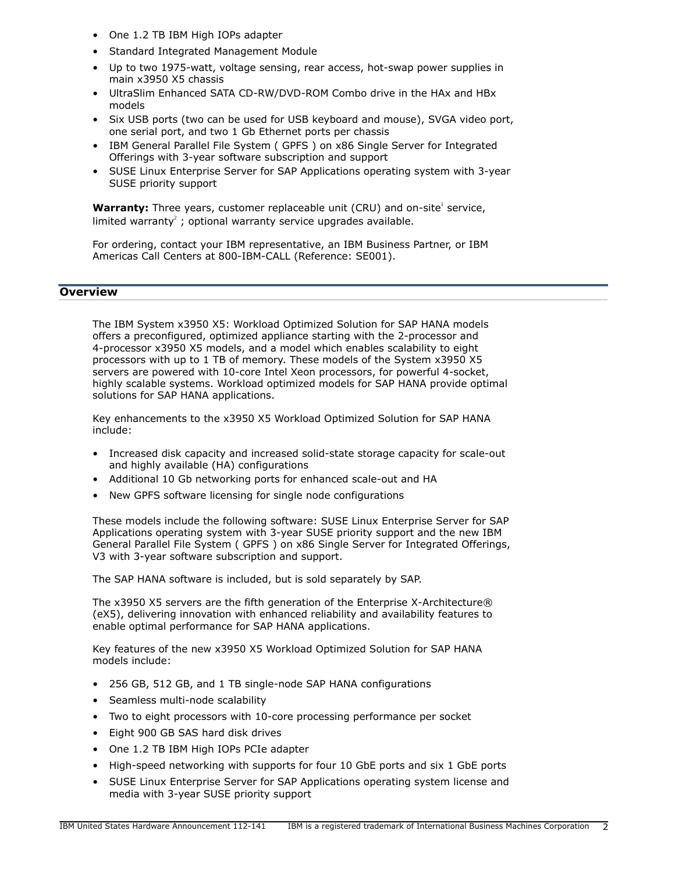- One 1.2 TB IBM High IOPs adapter
- Standard Integrated Management Module
- Up to two 1975-watt, voltage sensing, rear access, hot-swap power supplies in main x3950 X5 chassis
- UltraSlim Enhanced SATA CD-RW/DVD-ROM Combo drive in the HAx and HBx models
- Six USB ports (two can be used for USB keyboard and mouse), SVGA video port, one serial port, and two 1 Gb Ethernet ports per chassis
- IBM General Parallel File System ( GPFS ) on x86 Single Server for Integrated Offerings with 3-year software subscription and support
- SUSE Linux Enterprise Server for SAP Applications operating system with 3-year SUSE priority support

**Warranty:** Three years, customer replaceable unit (CRU) and on-site<sup>1</sup> service, limited warranty<sup>2</sup>; optional warranty service upgrades available.

For ordering, contact your IBM representative, an IBM Business Partner, or IBM Americas Call Centers at 800-IBM-CALL (Reference: SE001).

## <span id="page-1-0"></span>**Overview**

The IBM System x3950 X5: Workload Optimized Solution for SAP HANA models offers a preconfigured, optimized appliance starting with the 2-processor and 4-processor x3950 X5 models, and a model which enables scalability to eight processors with up to 1 TB of memory. These models of the System x3950 X5 servers are powered with 10-core Intel Xeon processors, for powerful 4-socket, highly scalable systems. Workload optimized models for SAP HANA provide optimal solutions for SAP HANA applications.

Key enhancements to the x3950 X5 Workload Optimized Solution for SAP HANA include:

- Increased disk capacity and increased solid-state storage capacity for scale-out and highly available (HA) configurations
- Additional 10 Gb networking ports for enhanced scale-out and HA
- New GPFS software licensing for single node configurations

These models include the following software: SUSE Linux Enterprise Server for SAP Applications operating system with 3-year SUSE priority support and the new IBM General Parallel File System ( GPFS ) on x86 Single Server for Integrated Offerings, V3 with 3-year software subscription and support.

The SAP HANA software is included, but is sold separately by SAP.

The x3950 X5 servers are the fifth generation of the Enterprise X-Architecture® (eX5), delivering innovation with enhanced reliability and availability features to enable optimal performance for SAP HANA applications.

Key features of the new x3950 X5 Workload Optimized Solution for SAP HANA models include:

- 256 GB, 512 GB, and 1 TB single-node SAP HANA configurations
- Seamless multi-node scalability
- Two to eight processors with 10-core processing performance per socket
- Eight 900 GB SAS hard disk drives
- One 1.2 TB IBM High IOPs PCIe adapter
- High-speed networking with supports for four 10 GbE ports and six 1 GbE ports
- SUSE Linux Enterprise Server for SAP Applications operating system license and media with 3-year SUSE priority support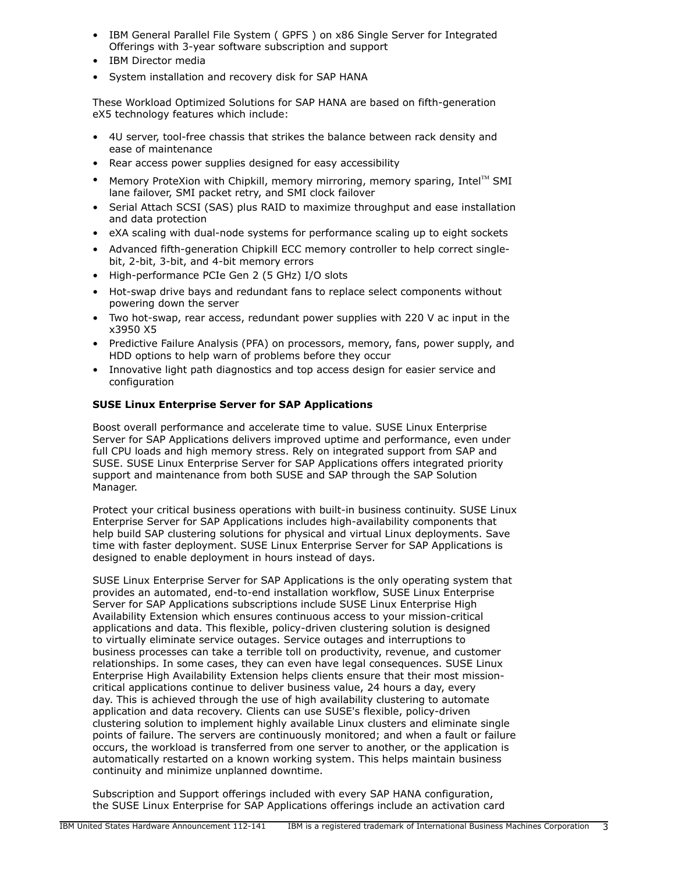- IBM General Parallel File System ( GPFS ) on x86 Single Server for Integrated Offerings with 3-year software subscription and support
- IBM Director media
- System installation and recovery disk for SAP HANA

These Workload Optimized Solutions for SAP HANA are based on fifth-generation eX5 technology features which include:

- 4U server, tool-free chassis that strikes the balance between rack density and ease of maintenance
- Rear access power supplies designed for easy accessibility
- Memory ProteXion with Chipkill, memory mirroring, memory sparing, Intel™ SMI lane failover, SMI packet retry, and SMI clock failover
- Serial Attach SCSI (SAS) plus RAID to maximize throughput and ease installation and data protection
- eXA scaling with dual-node systems for performance scaling up to eight sockets
- Advanced fifth-generation Chipkill ECC memory controller to help correct singlebit, 2-bit, 3-bit, and 4-bit memory errors
- High-performance PCIe Gen 2 (5 GHz) I/O slots
- Hot-swap drive bays and redundant fans to replace select components without powering down the server
- Two hot-swap, rear access, redundant power supplies with 220 V ac input in the x3950 X5
- Predictive Failure Analysis (PFA) on processors, memory, fans, power supply, and HDD options to help warn of problems before they occur
- Innovative light path diagnostics and top access design for easier service and configuration

## **SUSE Linux Enterprise Server for SAP Applications**

Boost overall performance and accelerate time to value. SUSE Linux Enterprise Server for SAP Applications delivers improved uptime and performance, even under full CPU loads and high memory stress. Rely on integrated support from SAP and SUSE. SUSE Linux Enterprise Server for SAP Applications offers integrated priority support and maintenance from both SUSE and SAP through the SAP Solution Manager.

Protect your critical business operations with built-in business continuity. SUSE Linux Enterprise Server for SAP Applications includes high-availability components that help build SAP clustering solutions for physical and virtual Linux deployments. Save time with faster deployment. SUSE Linux Enterprise Server for SAP Applications is designed to enable deployment in hours instead of days.

SUSE Linux Enterprise Server for SAP Applications is the only operating system that provides an automated, end-to-end installation workflow, SUSE Linux Enterprise Server for SAP Applications subscriptions include SUSE Linux Enterprise High Availability Extension which ensures continuous access to your mission-critical applications and data. This flexible, policy-driven clustering solution is designed to virtually eliminate service outages. Service outages and interruptions to business processes can take a terrible toll on productivity, revenue, and customer relationships. In some cases, they can even have legal consequences. SUSE Linux Enterprise High Availability Extension helps clients ensure that their most missioncritical applications continue to deliver business value, 24 hours a day, every day. This is achieved through the use of high availability clustering to automate application and data recovery. Clients can use SUSE's flexible, policy-driven clustering solution to implement highly available Linux clusters and eliminate single points of failure. The servers are continuously monitored; and when a fault or failure occurs, the workload is transferred from one server to another, or the application is automatically restarted on a known working system. This helps maintain business continuity and minimize unplanned downtime.

Subscription and Support offerings included with every SAP HANA configuration, the SUSE Linux Enterprise for SAP Applications offerings include an activation card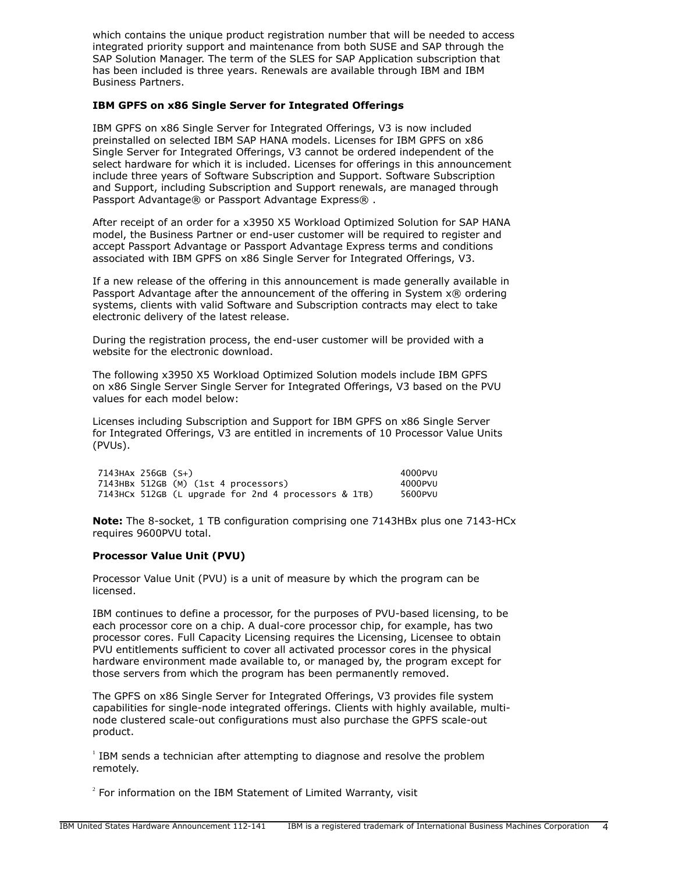which contains the unique product registration number that will be needed to access integrated priority support and maintenance from both SUSE and SAP through the SAP Solution Manager. The term of the SLES for SAP Application subscription that has been included is three years. Renewals are available through IBM and IBM Business Partners.

#### **IBM GPFS on x86 Single Server for Integrated Offerings**

IBM GPFS on x86 Single Server for Integrated Offerings, V3 is now included preinstalled on selected IBM SAP HANA models. Licenses for IBM GPFS on x86 Single Server for Integrated Offerings, V3 cannot be ordered independent of the select hardware for which it is included. Licenses for offerings in this announcement include three years of Software Subscription and Support. Software Subscription and Support, including Subscription and Support renewals, are managed through Passport Advantage® or Passport Advantage Express®.

After receipt of an order for a x3950 X5 Workload Optimized Solution for SAP HANA model, the Business Partner or end-user customer will be required to register and accept Passport Advantage or Passport Advantage Express terms and conditions associated with IBM GPFS on x86 Single Server for Integrated Offerings, V3.

If a new release of the offering in this announcement is made generally available in Passport Advantage after the announcement of the offering in System x® ordering systems, clients with valid Software and Subscription contracts may elect to take electronic delivery of the latest release.

During the registration process, the end-user customer will be provided with a website for the electronic download.

The following x3950 X5 Workload Optimized Solution models include IBM GPFS on x86 Single Server Single Server for Integrated Offerings, V3 based on the PVU values for each model below:

Licenses including Subscription and Support for IBM GPFS on x86 Single Server for Integrated Offerings, V3 are entitled in increments of 10 Processor Value Units (PVUs).

 7143HAx 256GB (S+) 4000PVU 7143HBx 512GB (M) (1st 4 processors) 4000PVU 7143HCx 512GB (L upgrade for 2nd 4 processors & 1TB)

**Note:** The 8-socket, 1 TB configuration comprising one 7143HBx plus one 7143-HCx requires 9600PVU total.

#### **Processor Value Unit (PVU)**

Processor Value Unit (PVU) is a unit of measure by which the program can be licensed.

IBM continues to define a processor, for the purposes of PVU-based licensing, to be each processor core on a chip. A dual-core processor chip, for example, has two processor cores. Full Capacity Licensing requires the Licensing, Licensee to obtain PVU entitlements sufficient to cover all activated processor cores in the physical hardware environment made available to, or managed by, the program except for those servers from which the program has been permanently removed.

The GPFS on x86 Single Server for Integrated Offerings, V3 provides file system capabilities for single-node integrated offerings. Clients with highly available, multinode clustered scale-out configurations must also purchase the GPFS scale-out product.

 $1$  IBM sends a technician after attempting to diagnose and resolve the problem remotely.

 $2^{2}$  For information on the IBM Statement of Limited Warranty, visit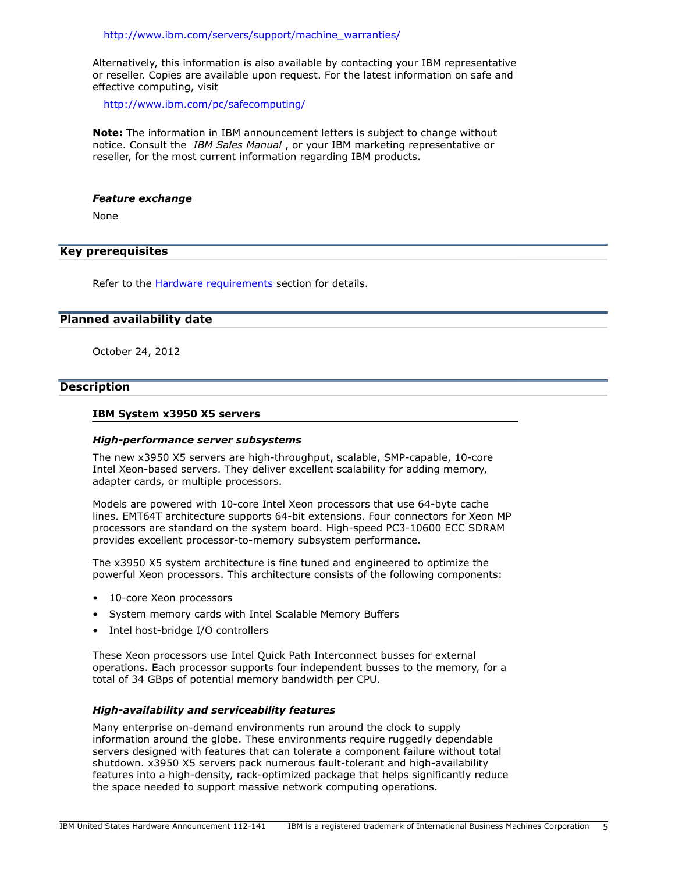[http://www.ibm.com/servers/support/machine\\_warranties/](http://www.ibm.com/servers/support/machine_warranties/)

Alternatively, this information is also available by contacting your IBM representative or reseller. Copies are available upon request. For the latest information on safe and effective computing, visit

<http://www.ibm.com/pc/safecomputing/>

**Note:** The information in IBM announcement letters is subject to change without notice. Consult the *IBM Sales Manual* , or your IBM marketing representative or reseller, for the most current information regarding IBM products.

#### *Feature exchange*

None

# <span id="page-4-0"></span>**Key prerequisites**

Refer to the [Hardware requirements](#page-16-0) section for details.

#### <span id="page-4-1"></span>**Planned availability date**

October 24, 2012

#### <span id="page-4-2"></span>**Description**

#### **IBM System x3950 X5 servers**

#### *High-performance server subsystems*

The new x3950 X5 servers are high-throughput, scalable, SMP-capable, 10-core Intel Xeon-based servers. They deliver excellent scalability for adding memory, adapter cards, or multiple processors.

Models are powered with 10-core Intel Xeon processors that use 64-byte cache lines. EMT64T architecture supports 64-bit extensions. Four connectors for Xeon MP processors are standard on the system board. High-speed PC3-10600 ECC SDRAM provides excellent processor-to-memory subsystem performance.

The x3950 X5 system architecture is fine tuned and engineered to optimize the powerful Xeon processors. This architecture consists of the following components:

- 10-core Xeon processors
- System memory cards with Intel Scalable Memory Buffers
- Intel host-bridge I/O controllers

These Xeon processors use Intel Quick Path Interconnect busses for external operations. Each processor supports four independent busses to the memory, for a total of 34 GBps of potential memory bandwidth per CPU.

#### *High-availability and serviceability features*

Many enterprise on-demand environments run around the clock to supply information around the globe. These environments require ruggedly dependable servers designed with features that can tolerate a component failure without total shutdown. x3950 X5 servers pack numerous fault-tolerant and high-availability features into a high-density, rack-optimized package that helps significantly reduce the space needed to support massive network computing operations.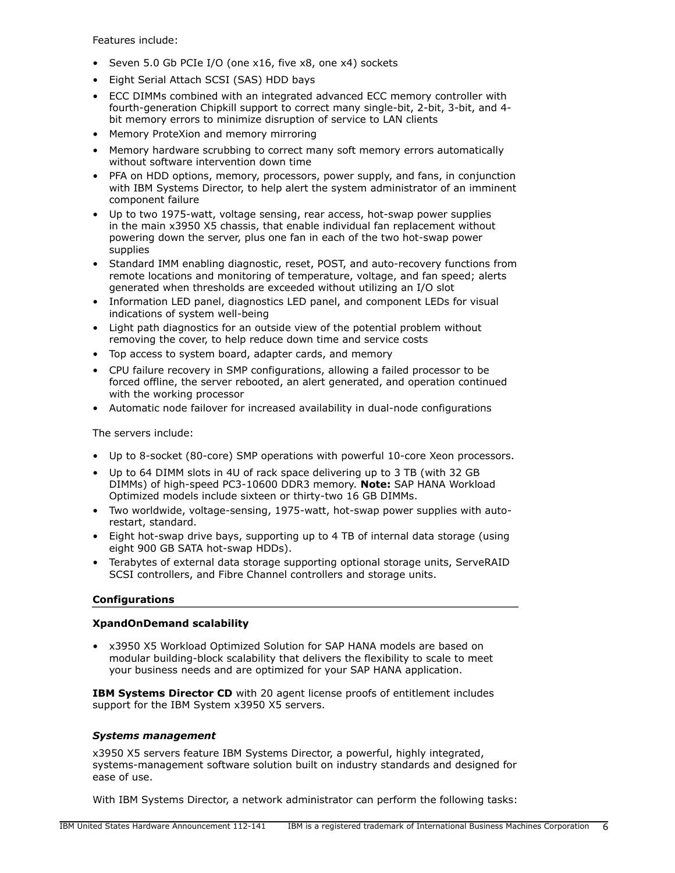Features include:

- Seven 5.0 Gb PCIe I/O (one x16, five x8, one x4) sockets
- Eight Serial Attach SCSI (SAS) HDD bays
- ECC DIMMs combined with an integrated advanced ECC memory controller with fourth-generation Chipkill support to correct many single-bit, 2-bit, 3-bit, and 4 bit memory errors to minimize disruption of service to LAN clients
- Memory ProteXion and memory mirroring
- Memory hardware scrubbing to correct many soft memory errors automatically without software intervention down time
- PFA on HDD options, memory, processors, power supply, and fans, in conjunction with IBM Systems Director, to help alert the system administrator of an imminent component failure
- Up to two 1975-watt, voltage sensing, rear access, hot-swap power supplies in the main x3950 X5 chassis, that enable individual fan replacement without powering down the server, plus one fan in each of the two hot-swap power supplies
- Standard IMM enabling diagnostic, reset, POST, and auto-recovery functions from remote locations and monitoring of temperature, voltage, and fan speed; alerts generated when thresholds are exceeded without utilizing an I/O slot
- Information LED panel, diagnostics LED panel, and component LEDs for visual indications of system well-being
- Light path diagnostics for an outside view of the potential problem without removing the cover, to help reduce down time and service costs
- Top access to system board, adapter cards, and memory
- CPU failure recovery in SMP configurations, allowing a failed processor to be forced offline, the server rebooted, an alert generated, and operation continued with the working processor
- Automatic node failover for increased availability in dual-node configurations

The servers include:

- Up to 8-socket (80-core) SMP operations with powerful 10-core Xeon processors.
- Up to 64 DIMM slots in 4U of rack space delivering up to 3 TB (with 32 GB DIMMs) of high-speed PC3-10600 DDR3 memory. **Note:** SAP HANA Workload Optimized models include sixteen or thirty-two 16 GB DIMMs.
- Two worldwide, voltage-sensing, 1975-watt, hot-swap power supplies with autorestart, standard.
- Eight hot-swap drive bays, supporting up to 4 TB of internal data storage (using eight 900 GB SATA hot-swap HDDs).
- Terabytes of external data storage supporting optional storage units, ServeRAID SCSI controllers, and Fibre Channel controllers and storage units.

# **Configurations**

# **XpandOnDemand scalability**

• x3950 X5 Workload Optimized Solution for SAP HANA models are based on modular building-block scalability that delivers the flexibility to scale to meet your business needs and are optimized for your SAP HANA application.

**IBM Systems Director CD** with 20 agent license proofs of entitlement includes support for the IBM System x3950 X5 servers.

## *Systems management*

x3950 X5 servers feature IBM Systems Director, a powerful, highly integrated, systems-management software solution built on industry standards and designed for ease of use.

With IBM Systems Director, a network administrator can perform the following tasks: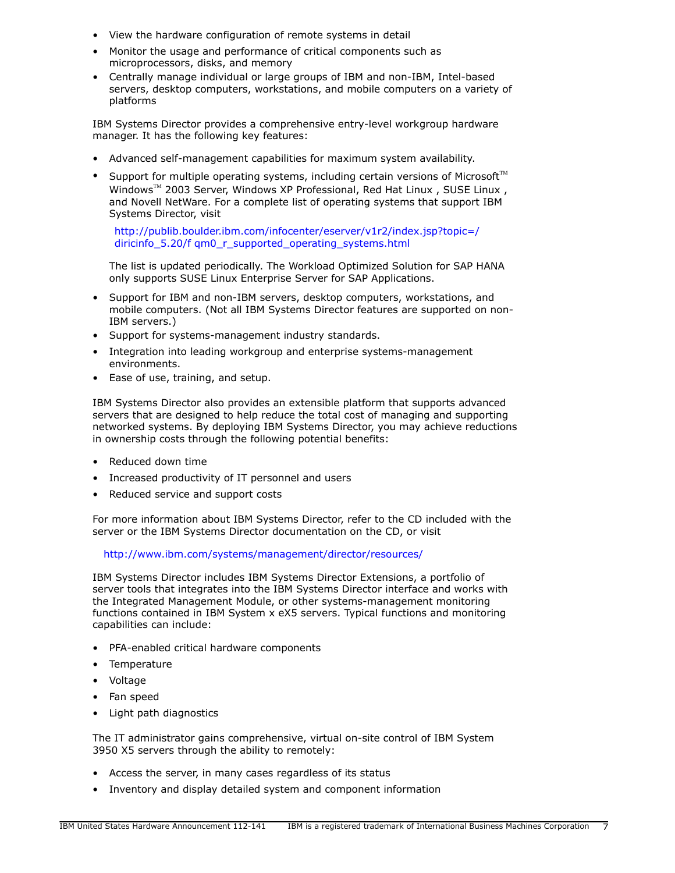- View the hardware configuration of remote systems in detail
- Monitor the usage and performance of critical components such as microprocessors, disks, and memory
- Centrally manage individual or large groups of IBM and non-IBM, Intel-based servers, desktop computers, workstations, and mobile computers on a variety of platforms

IBM Systems Director provides a comprehensive entry-level workgroup hardware manager. It has the following key features:

- Advanced self-management capabilities for maximum system availability.
- Support for multiple operating systems, including certain versions of Microsoft<sup>TM</sup> Windows<sup> $M$ </sup> 2003 Server, Windows XP Professional, Red Hat Linux , SUSE Linux , and Novell NetWare. For a complete list of operating systems that support IBM Systems Director, visit

[http://publib.boulder.ibm.com/infocenter/eserver/v1r2/index.jsp?topic=/](http://publib.boulder.ibm.com/infocenter/eserver/v1r2/index.jsp?topic=/diricinfo_5.20/fqm0_r_supported_operating_systems.html) [diricinfo\\_5.20/f qm0\\_r\\_supported\\_operating\\_systems.html](http://publib.boulder.ibm.com/infocenter/eserver/v1r2/index.jsp?topic=/diricinfo_5.20/fqm0_r_supported_operating_systems.html)

The list is updated periodically. The Workload Optimized Solution for SAP HANA only supports SUSE Linux Enterprise Server for SAP Applications.

- Support for IBM and non-IBM servers, desktop computers, workstations, and mobile computers. (Not all IBM Systems Director features are supported on non-IBM servers.)
- Support for systems-management industry standards.
- Integration into leading workgroup and enterprise systems-management environments.
- Ease of use, training, and setup.

IBM Systems Director also provides an extensible platform that supports advanced servers that are designed to help reduce the total cost of managing and supporting networked systems. By deploying IBM Systems Director, you may achieve reductions in ownership costs through the following potential benefits:

- Reduced down time
- Increased productivity of IT personnel and users
- Reduced service and support costs

For more information about IBM Systems Director, refer to the CD included with the server or the IBM Systems Director documentation on the CD, or visit

<http://www.ibm.com/systems/management/director/resources/>

IBM Systems Director includes IBM Systems Director Extensions, a portfolio of server tools that integrates into the IBM Systems Director interface and works with the Integrated Management Module, or other systems-management monitoring functions contained in IBM System x eX5 servers. Typical functions and monitoring capabilities can include:

- PFA-enabled critical hardware components
- Temperature
- Voltage
- Fan speed
- Light path diagnostics

The IT administrator gains comprehensive, virtual on-site control of IBM System 3950 X5 servers through the ability to remotely:

- Access the server, in many cases regardless of its status
- Inventory and display detailed system and component information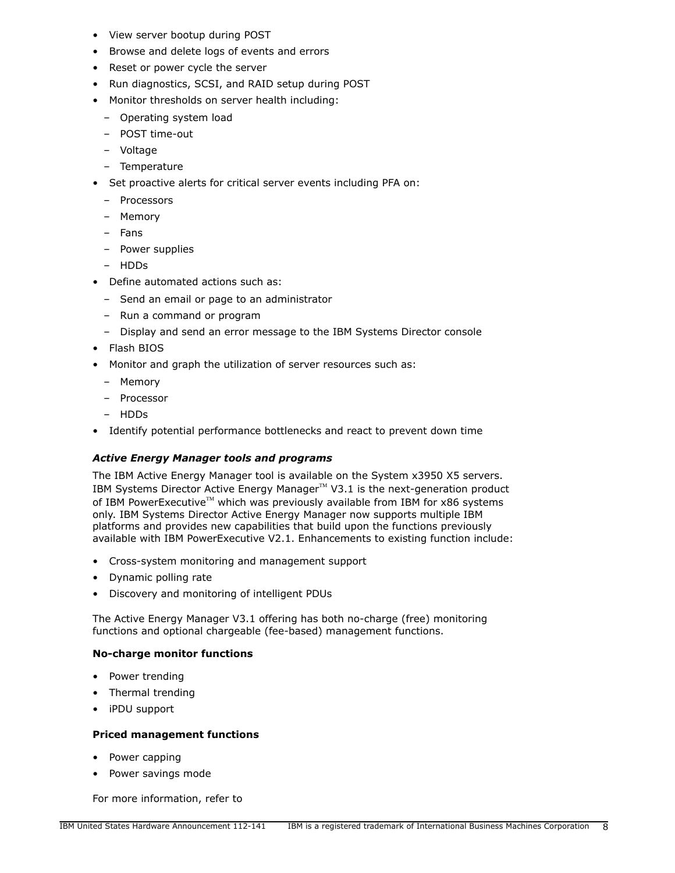- View server bootup during POST
- Browse and delete logs of events and errors
- Reset or power cycle the server
- Run diagnostics, SCSI, and RAID setup during POST
- Monitor thresholds on server health including:
	- Operating system load
	- POST time-out
	- Voltage
	- Temperature
- Set proactive alerts for critical server events including PFA on:
	- Processors
	- Memory
	- Fans
	- Power supplies
	- HDDs
- Define automated actions such as:
	- Send an email or page to an administrator
	- Run a command or program
	- Display and send an error message to the IBM Systems Director console
- Flash BIOS
- Monitor and graph the utilization of server resources such as:
	- Memory
	- Processor
	- HDDs
- Identify potential performance bottlenecks and react to prevent down time

## *Active Energy Manager tools and programs*

The IBM Active Energy Manager tool is available on the System x3950 X5 servers. IBM Systems Director Active Energy Manager<sup>M</sup> V3.1 is the next-generation product of IBM PowerExecutive<sup>™</sup> which was previously available from IBM for x86 systems only. IBM Systems Director Active Energy Manager now supports multiple IBM platforms and provides new capabilities that build upon the functions previously available with IBM PowerExecutive V2.1. Enhancements to existing function include:

- Cross-system monitoring and management support
- Dynamic polling rate
- Discovery and monitoring of intelligent PDUs

The Active Energy Manager V3.1 offering has both no-charge (free) monitoring functions and optional chargeable (fee-based) management functions.

## **No-charge monitor functions**

- Power trending
- Thermal trending
- iPDU support

## **Priced management functions**

- Power capping
- Power savings mode

For more information, refer to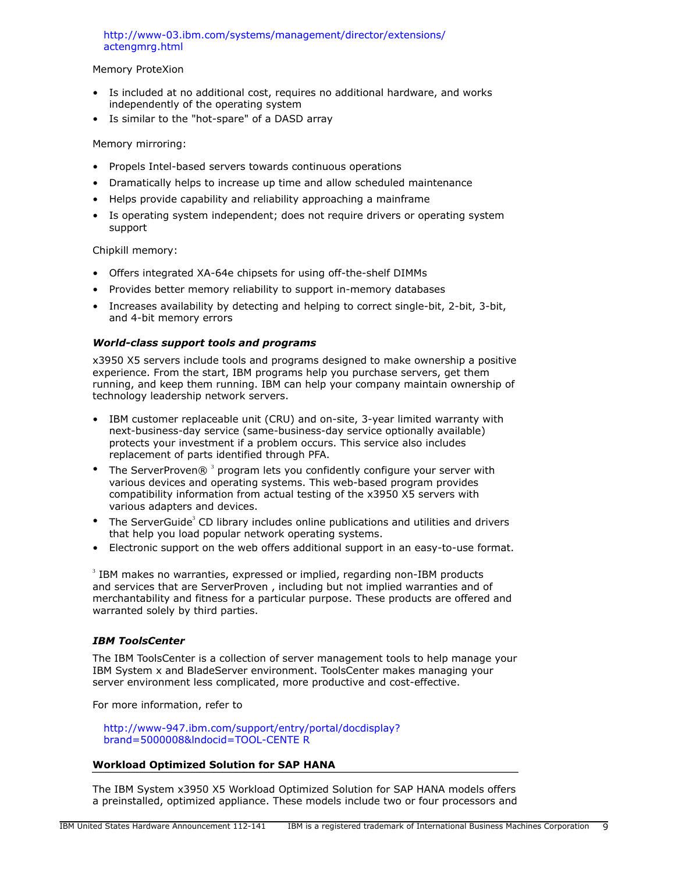## [http://www-03.ibm.com/systems/management/director/extensions/](http://www-03.ibm.com/systems/management/director/extensions/actengmrg.html) [actengmrg.html](http://www-03.ibm.com/systems/management/director/extensions/actengmrg.html)

## Memory ProteXion

- Is included at no additional cost, requires no additional hardware, and works independently of the operating system
- Is similar to the "hot-spare" of a DASD array

## Memory mirroring:

- Propels Intel-based servers towards continuous operations
- Dramatically helps to increase up time and allow scheduled maintenance
- Helps provide capability and reliability approaching a mainframe
- Is operating system independent; does not require drivers or operating system support

Chipkill memory:

- Offers integrated XA-64e chipsets for using off-the-shelf DIMMs
- Provides better memory reliability to support in-memory databases
- Increases availability by detecting and helping to correct single-bit, 2-bit, 3-bit, and 4-bit memory errors

## *World-class support tools and programs*

x3950 X5 servers include tools and programs designed to make ownership a positive experience. From the start, IBM programs help you purchase servers, get them running, and keep them running. IBM can help your company maintain ownership of technology leadership network servers.

- IBM customer replaceable unit (CRU) and on-site, 3-year limited warranty with next-business-day service (same-business-day service optionally available) protects your investment if a problem occurs. This service also includes replacement of parts identified through PFA.
- The ServerProven $@$ <sup>3</sup> program lets you confidently configure your server with various devices and operating systems. This web-based program provides compatibility information from actual testing of the x3950 X5 servers with various adapters and devices.
- The ServerGuide<sup>3</sup> CD library includes online publications and utilities and drivers that help you load popular network operating systems.
- Electronic support on the web offers additional support in an easy-to-use format.

 $3$  IBM makes no warranties, expressed or implied, regarding non-IBM products and services that are ServerProven , including but not implied warranties and of merchantability and fitness for a particular purpose. These products are offered and warranted solely by third parties.

#### *IBM ToolsCenter*

The IBM ToolsCenter is a collection of server management tools to help manage your IBM System x and BladeServer environment. ToolsCenter makes managing your server environment less complicated, more productive and cost-effective.

For more information, refer to

[http://www-947.ibm.com/support/entry/portal/docdisplay?](http://www-947.ibm.com/support/entry/portal/docdisplay?brand=5000008&lndocid=TOOL-CENTER) [brand=5000008&lndocid=TOOL-CENTE R](http://www-947.ibm.com/support/entry/portal/docdisplay?brand=5000008&lndocid=TOOL-CENTER)

## **Workload Optimized Solution for SAP HANA**

The IBM System x3950 X5 Workload Optimized Solution for SAP HANA models offers a preinstalled, optimized appliance. These models include two or four processors and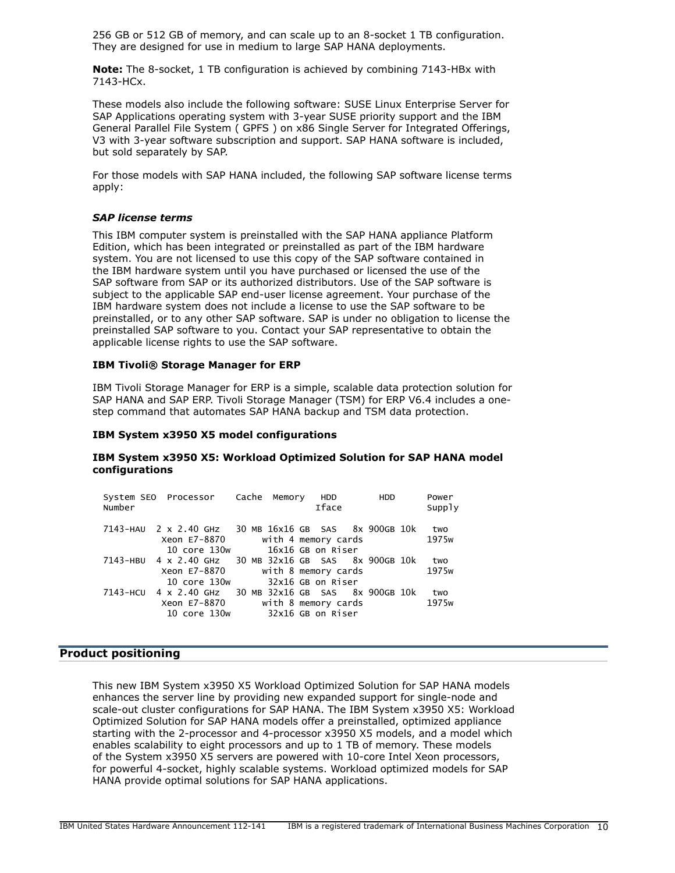256 GB or 512 GB of memory, and can scale up to an 8-socket 1 TB configuration. They are designed for use in medium to large SAP HANA deployments.

**Note:** The 8-socket, 1 TB configuration is achieved by combining 7143-HBx with 7143-HCx.

These models also include the following software: SUSE Linux Enterprise Server for SAP Applications operating system with 3-year SUSE priority support and the IBM General Parallel File System ( GPFS ) on x86 Single Server for Integrated Offerings, V3 with 3-year software subscription and support. SAP HANA software is included, but sold separately by SAP.

For those models with SAP HANA included, the following SAP software license terms apply:

#### *SAP license terms*

This IBM computer system is preinstalled with the SAP HANA appliance Platform Edition, which has been integrated or preinstalled as part of the IBM hardware system. You are not licensed to use this copy of the SAP software contained in the IBM hardware system until you have purchased or licensed the use of the SAP software from SAP or its authorized distributors. Use of the SAP software is subject to the applicable SAP end-user license agreement. Your purchase of the IBM hardware system does not include a license to use the SAP software to be preinstalled, or to any other SAP software. SAP is under no obligation to license the preinstalled SAP software to you. Contact your SAP representative to obtain the applicable license rights to use the SAP software.

#### **IBM Tivoli® Storage Manager for ERP**

IBM Tivoli Storage Manager for ERP is a simple, scalable data protection solution for SAP HANA and SAP ERP. Tivoli Storage Manager (TSM) for ERP V6.4 includes a onestep command that automates SAP HANA backup and TSM data protection.

#### **IBM System x3950 X5 model configurations**

#### **IBM System x3950 X5: Workload Optimized Solution for SAP HANA model configurations**

| Number   | System SEO Processor Cache Memory |  |  | <b>HDD</b><br><b>Iface</b>               | <b>HDD</b> | Power<br>Supply   |
|----------|-----------------------------------|--|--|------------------------------------------|------------|-------------------|
|          | 7143-HAU 2 x 2.40 GHz             |  |  | 30 MB 16x16 GB SAS 8x 900GB 10k          |            | two               |
|          | Xeon E7-8870<br>10 core 130w      |  |  | with 4 memory cards<br>16x16 GB on Riser |            | 1975 <sub>w</sub> |
| 7143-HBU | 4 x 2.40 GHz                      |  |  | 30 MB 32x16 GB SAS 8x 900GB 10k          |            | two               |
|          | Xeon E7-8870                      |  |  | with 8 memory cards                      |            | 1975 <sub>w</sub> |
|          | 10 core 130w                      |  |  | 32x16 GB on Riser                        |            |                   |
| 7143-HCU | 4 x 2.40 GHz                      |  |  | 30 MB 32x16 GB SAS 8x 900GB 10k          |            | two               |
|          | Xeon E7-8870                      |  |  | with 8 memory cards                      |            | 1975 <sub>w</sub> |
|          | 10 core 130w                      |  |  | 32x16 GB on Riser                        |            |                   |

#### <span id="page-9-0"></span>**Product positioning**

This new IBM System x3950 X5 Workload Optimized Solution for SAP HANA models enhances the server line by providing new expanded support for single-node and scale-out cluster configurations for SAP HANA. The IBM System x3950 X5: Workload Optimized Solution for SAP HANA models offer a preinstalled, optimized appliance starting with the 2-processor and 4-processor x3950 X5 models, and a model which enables scalability to eight processors and up to 1 TB of memory. These models of the System x3950 X5 servers are powered with 10-core Intel Xeon processors, for powerful 4-socket, highly scalable systems. Workload optimized models for SAP HANA provide optimal solutions for SAP HANA applications.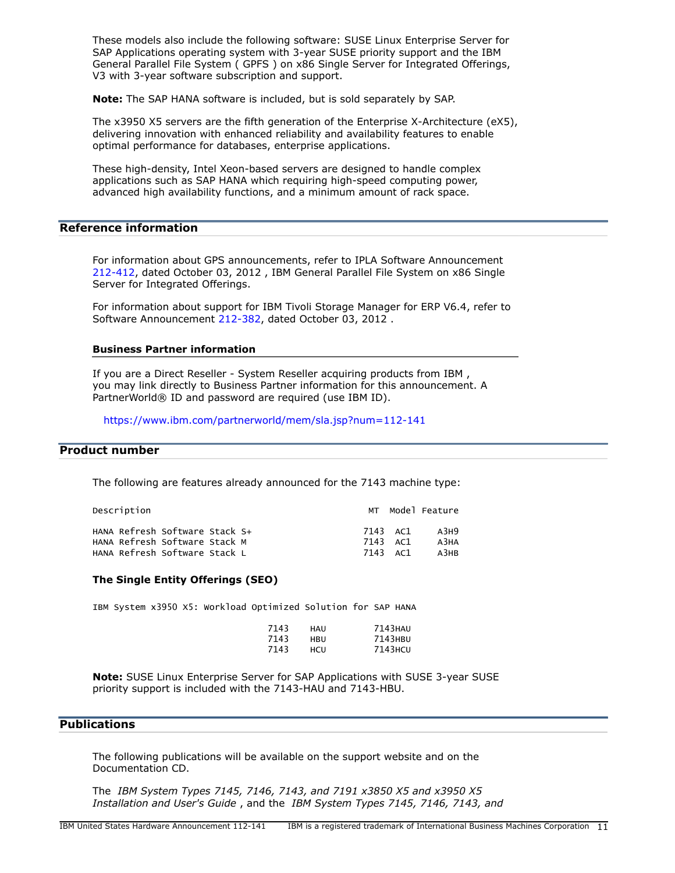These models also include the following software: SUSE Linux Enterprise Server for SAP Applications operating system with 3-year SUSE priority support and the IBM General Parallel File System ( GPFS ) on x86 Single Server for Integrated Offerings, V3 with 3-year software subscription and support.

**Note:** The SAP HANA software is included, but is sold separately by SAP.

The x3950 X5 servers are the fifth generation of the Enterprise X-Architecture (eX5), delivering innovation with enhanced reliability and availability features to enable optimal performance for databases, enterprise applications.

These high-density, Intel Xeon-based servers are designed to handle complex applications such as SAP HANA which requiring high-speed computing power, advanced high availability functions, and a minimum amount of rack space.

#### **Reference information**

For information about GPS announcements, refer to IPLA Software Announcement [212-412](http://www.ibm.com/common/ssi/cgi-bin/ssialias?infotype=an&subtype=ca&appname=gpateam&supplier=897&letternum=ENUS212-412), dated October 03, 2012 , IBM General Parallel File System on x86 Single Server for Integrated Offerings.

For information about support for IBM Tivoli Storage Manager for ERP V6.4, refer to Software Announcement [212-382,](http://www.ibm.com/common/ssi/cgi-bin/ssialias?infotype=an&subtype=ca&appname=gpateam&supplier=897&letternum=ENUS212-382) dated October 03, 2012 .

#### **Business Partner information**

If you are a Direct Reseller - System Reseller acquiring products from IBM , you may link directly to Business Partner information for this announcement. A PartnerWorld® ID and password are required (use IBM ID).

<https://www.ibm.com/partnerworld/mem/sla.jsp?num=112-141>

#### <span id="page-10-1"></span>**Product number**

The following are features already announced for the 7143 machine type:

| Description                                                                                      |  |                                  | MT Model Feature     |
|--------------------------------------------------------------------------------------------------|--|----------------------------------|----------------------|
| HANA Refresh Software Stack S+<br>HANA Refresh Software Stack M<br>HANA Refresh Software Stack L |  | 7143 AC1<br>7143 AC1<br>7143 AC1 | A3H9<br>A3HA<br>A3HB |

#### **The Single Entity Offerings (SEO)**

IBM System x3950 X5: Workload Optimized Solution for SAP HANA

| 7143 | HAU | 7143HAU |
|------|-----|---------|
| 7143 | HBU | 7143HBU |
| 7143 | HCU | 7143HCU |

**Note:** SUSE Linux Enterprise Server for SAP Applications with SUSE 3-year SUSE priority support is included with the 7143-HAU and 7143-HBU.

## <span id="page-10-0"></span>**Publications**

The following publications will be available on the support website and on the Documentation CD.

The *IBM System Types 7145, 7146, 7143, and 7191 x3850 X5 and x3950 X5 Installation and User's Guide* , and the *IBM System Types 7145, 7146, 7143, and*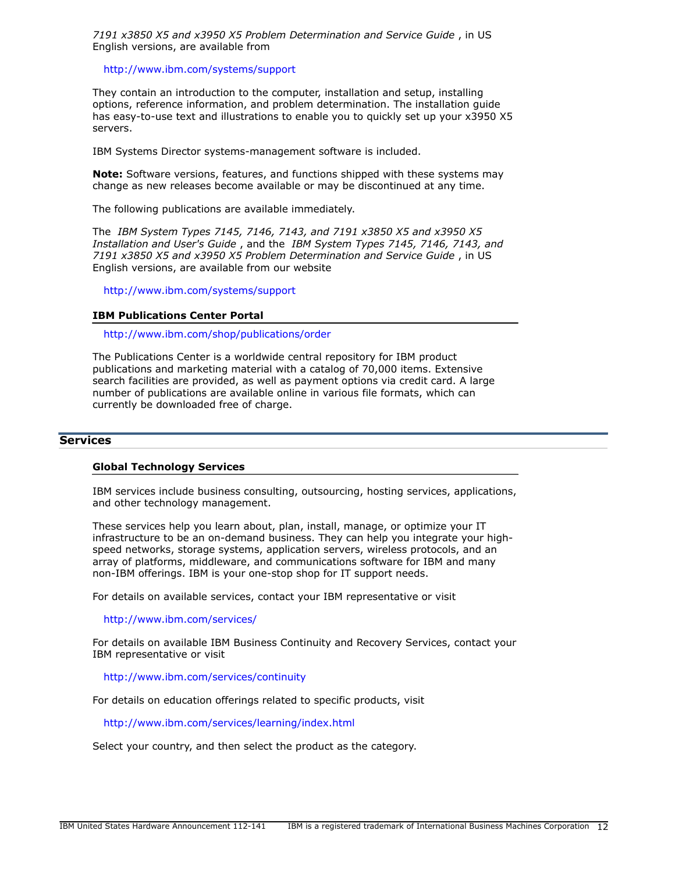*7191 x3850 X5 and x3950 X5 Problem Determination and Service Guide* , in US English versions, are available from

<http://www.ibm.com/systems/support>

They contain an introduction to the computer, installation and setup, installing options, reference information, and problem determination. The installation guide has easy-to-use text and illustrations to enable you to quickly set up your x3950 X5 servers.

IBM Systems Director systems-management software is included.

**Note:** Software versions, features, and functions shipped with these systems may change as new releases become available or may be discontinued at any time.

The following publications are available immediately.

The *IBM System Types 7145, 7146, 7143, and 7191 x3850 X5 and x3950 X5 Installation and User's Guide* , and the *IBM System Types 7145, 7146, 7143, and 7191 x3850 X5 and x3950 X5 Problem Determination and Service Guide* , in US English versions, are available from our website

<http://www.ibm.com/systems/support>

#### **IBM Publications Center Portal**

<http://www.ibm.com/shop/publications/order>

The Publications Center is a worldwide central repository for IBM product publications and marketing material with a catalog of 70,000 items. Extensive search facilities are provided, as well as payment options via credit card. A large number of publications are available online in various file formats, which can currently be downloaded free of charge.

#### **Services**

#### **Global Technology Services**

IBM services include business consulting, outsourcing, hosting services, applications, and other technology management.

These services help you learn about, plan, install, manage, or optimize your IT infrastructure to be an on-demand business. They can help you integrate your highspeed networks, storage systems, application servers, wireless protocols, and an array of platforms, middleware, and communications software for IBM and many non-IBM offerings. IBM is your one-stop shop for IT support needs.

For details on available services, contact your IBM representative or visit

#### <http://www.ibm.com/services/>

For details on available IBM Business Continuity and Recovery Services, contact your IBM representative or visit

<http://www.ibm.com/services/continuity>

For details on education offerings related to specific products, visit

<http://www.ibm.com/services/learning/index.html>

Select your country, and then select the product as the category.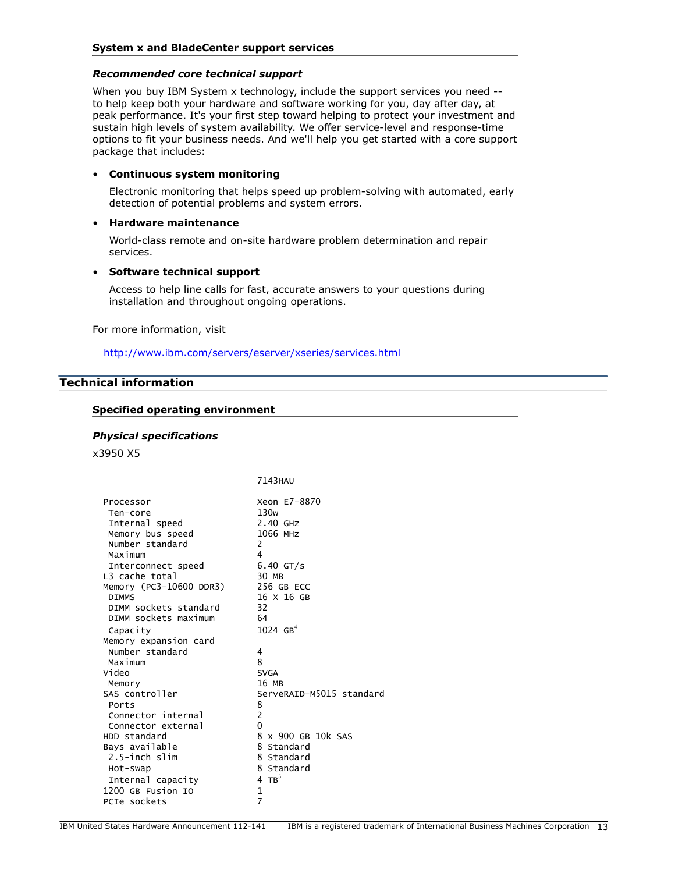## *Recommended core technical support*

When you buy IBM System x technology, include the support services you need -to help keep both your hardware and software working for you, day after day, at peak performance. It's your first step toward helping to protect your investment and sustain high levels of system availability. We offer service-level and response-time options to fit your business needs. And we'll help you get started with a core support package that includes:

#### • **Continuous system monitoring**

Electronic monitoring that helps speed up problem-solving with automated, early detection of potential problems and system errors.

#### • **Hardware maintenance**

World-class remote and on-site hardware problem determination and repair services.

#### • **Software technical support**

Access to help line calls for fast, accurate answers to your questions during installation and throughout ongoing operations.

For more information, visit

<http://www.ibm.com/servers/eserver/xseries/services.html>

# <span id="page-12-0"></span>**Technical information**

#### **Specified operating environment**

#### *Physical specifications*

x3950 X5

|                         | 7143HAU                  |
|-------------------------|--------------------------|
| Processor               | Xeon E7-8870             |
| Ten-core                | 130 <sub>w</sub>         |
| Internal speed          | $2.40$ GHz               |
| Memory bus speed        | 1066 MHZ                 |
| Number standard         | 2                        |
| Maximum                 | 4                        |
| Interconnect speed      | $6.40$ GT/s              |
| L3 cache total          | 30 MB                    |
| Memory (PC3-10600 DDR3) | 256 GB ECC               |
| <b>DIMMS</b>            | 16 X 16 GB               |
| DIMM sockets standard   | 32                       |
| DIMM sockets maximum    | 64                       |
| Capacity                | $1024 \, \text{GB}^4$    |
| Memory expansion card   |                          |
| Number standard         | 4                        |
| Maximum                 | 8                        |
| Video                   | <b>SVGA</b>              |
| Memory                  | 16 MB                    |
| SAS controller          | ServeRAID-M5015 standard |
| Ports                   | 8                        |
| Connector internal      | $\overline{c}$           |
| Connector external      | 0                        |
| HDD standard            | 8 x 900 GB 10k SAS       |
| Bays available          | 8 Standard               |
| 2.5-inch slim           | 8 Standard               |
| Hot-swap                | 8 Standard               |
| Internal capacity       | 4 TB $^5$                |
| 1200 GB Fusion IO       | $\mathbf{1}$             |
| PCIe sockets            | $\overline{7}$           |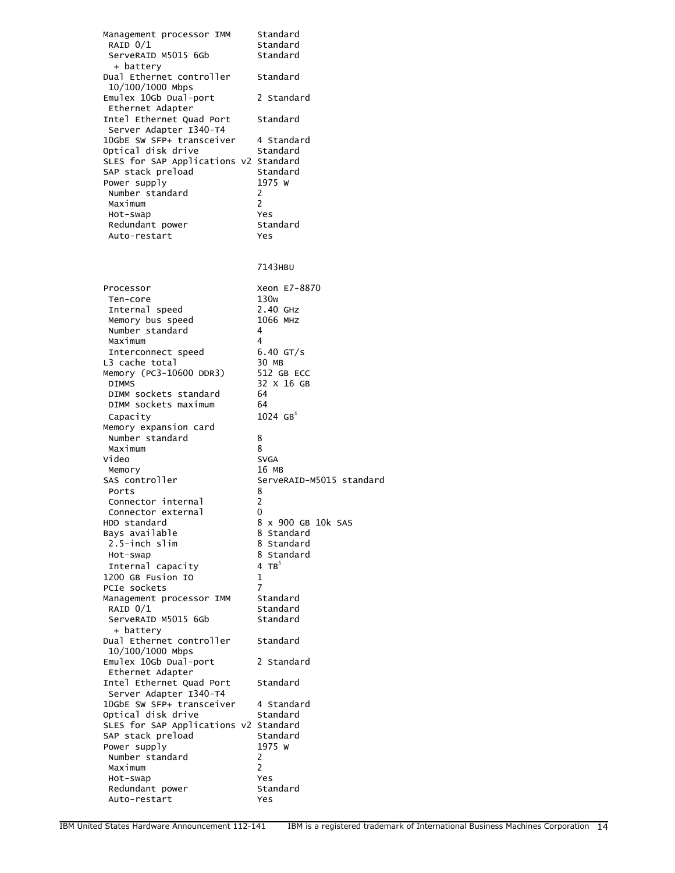| Management processor IMM                           | Standard                 |
|----------------------------------------------------|--------------------------|
| RAID 0/1                                           | Standard                 |
| ServeRAID M5015 6Gb<br>+ battery                   | Standard                 |
| Dual Ethernet controller<br>10/100/1000 Mbps       | Standard                 |
| Emulex 10Gb Dual-port<br>Ethernet Adapter          | 2 Standard               |
| Intel Ethernet Quad Port<br>Server Adapter I340-T4 | Standard                 |
| 10GbE SW SFP+ transceiver                          | 4 Standard               |
| Optical disk drive                                 | Standard                 |
| SLES for SAP Applications v2 Standard              |                          |
| SAP stack preload                                  | Standard                 |
| Power supply                                       | 1975 W                   |
| Number standard<br>Maximum                         | 2<br>2                   |
| Hot-swap                                           | Yes                      |
| Redundant power                                    | Standard                 |
| Auto-restart                                       | Yes                      |
|                                                    | 7143HBU                  |
| Processor                                          | Xeon E7-8870             |
| Ten-core                                           | 130w                     |
| Internal speed                                     | 2.40 GHZ                 |
| Memory bus speed                                   | 1066 MHZ                 |
| Number standard                                    | 4                        |
| Maximum                                            | 4                        |
| Interconnect speed<br>L3 cache total               | $6.40$ GT/s<br>30 MB     |
| Memory (PC3-10600 DDR3)                            | 512 GB ECC               |
| <b>DIMMS</b>                                       | 32 X 16 GB               |
| DIMM sockets standard                              | 64                       |
| DIMM sockets maximum                               | 64                       |
| Capacity                                           | $1024 \, \text{GB}^4$    |
| Memory expansion card<br>Number standard           | 8                        |
| Maximum                                            | 8                        |
| Video                                              | <b>SVGA</b>              |
| Memory                                             | 16 MB                    |
| SAS controller                                     | ServeRAID-M5015 standard |
| Ports                                              | 8                        |
| Connector internal                                 | 2<br>0                   |
| Connector external<br>HDD standard                 | 8 x 900 GB 10k SAS       |
| Bays available                                     | 8 Standard               |
| 2.5-inch slim                                      | 8 Standard               |
| Hot-swap                                           | 8 Standard               |
| Internal capacity                                  | 4 TB $5$                 |
| 1200 GB Fusion IO                                  | 1                        |
| PCIe sockets                                       | $\overline{7}$           |
| Management processor IMM<br>RAID $0/1$             | Standard<br>Standard     |
| ServeRAID M5015 6Gb                                | Standard                 |
| + battery                                          |                          |
| Dual Ethernet controller                           | Standard                 |
| 10/100/1000 Mbps<br>Emulex 10Gb Dual-port          | 2 Standard               |
| Ethernet Adapter                                   |                          |
| Intel Ethernet Quad Port                           | Standard                 |
| Server Adapter I340-T4                             |                          |
| 10GbE SW SFP+ transceiver                          | 4 Standard               |
| Optical disk drive                                 | Standard                 |
| SLES for SAP Applications v2 Standard              |                          |
| SAP stack preload<br>Power supply                  | Standard<br>1975 W       |
| Number standard                                    | 2                        |
| Maximum                                            | 2                        |
| Hot-swap                                           | Yes                      |
| Redundant power                                    | Standard                 |
| Auto-restart                                       | Yes                      |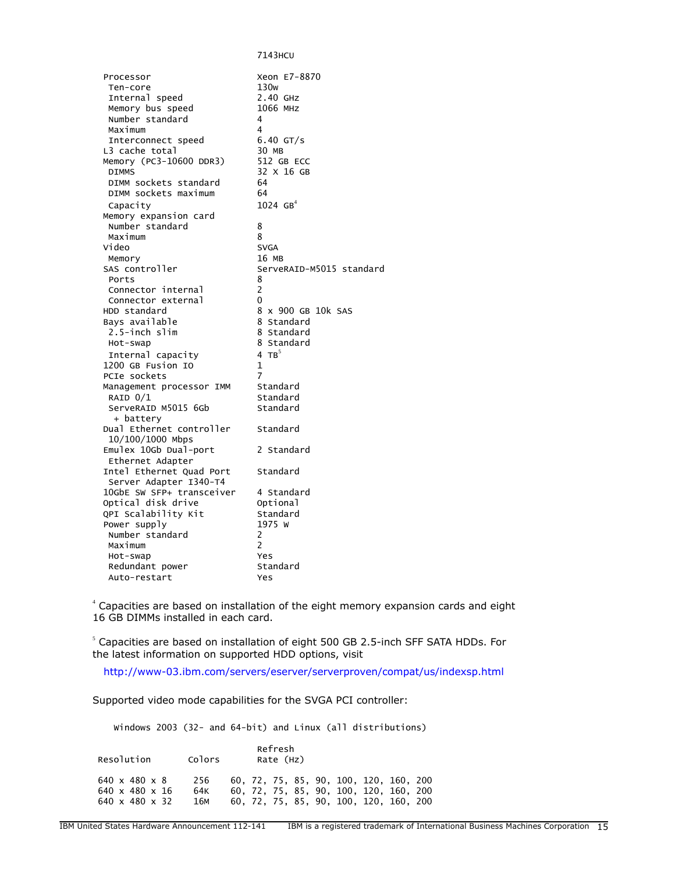7143HCU Processor Xeon E7-8870 Ten-core 130w<br>Internal speed 2.40 GHz Internal speed 2.40 GHz Memory bus speed Number standard 4 Maximum 4<br>Therconnect speed 6.40 GT/s Interconnect speed L3 cache total 30 MB<br>Memory (PC3-10600 DDR3) 512 GB ECC Memory (PC3-10600 DDR3) DIMMS 32 X 16 GB DIMM sockets standard 64<br>DIMM sockets maximum 64 DIMM sockets maximum Capacity  $1024 \text{ GB}^4$  Memory expansion card Number standard 8 Maximum 8 Video Memory 16 MB ServeRAID-M5015 standard Ports 8 Connector internal 2 Connector external 0 HDD standard a a b 8 x 900 GB 10k SAS<br>Bays available a a 8 standard Bays available 8 Standard<br>2.5-inch slim 8 Standard  $2.5$ -inch slim Hot-swap 8 Standard Internal capacity  $4\text{ TB}^5$ 1200 GB Fusion IO 1 PCIe sockets 7 Management processor IMM Standard<br>RAID 0/1 Standard RAID 0/1 Standard<br>ServeRAID M5015 6Gb Standard ServeRAID M5015 6Gb + battery Dual Ethernet controller Standard 10/100/1000 Mbps Emulex 10Gb Dual-port 2 Standard Ethernet Adapter Intel Ethernet Quad Port Standard Server Adapter I340-T4 10GbE SW SFP+ transceiver 4 Standard Optical disk drive optional<br>QPI Scalability Kit Standard QPI Scalability Kit Standa<br>Power supply 1975 W Power supply Number standard 2 Maximum 2 Hot-swap Yes Redundant power Standard Auto-restart Yes

4 Capacities are based on installation of the eight memory expansion cards and eight 16 GB DIMMs installed in each card.

 $^{\circ}$  Capacities are based on installation of eight 500 GB 2.5-inch SFF SATA HDDs. For the latest information on supported HDD options, visit

<http://www-03.ibm.com/servers/eserver/serverproven/compat/us/indexsp.html>

Supported video mode capabilities for the SVGA PCI controller:

Windows 2003 (32- and 64-bit) and Linux (all distributions)

| Resolution                                                                              | Colors            | Refresh<br>Rate (Hz) |  |  |  |  |                                                                                                                            |  |
|-----------------------------------------------------------------------------------------|-------------------|----------------------|--|--|--|--|----------------------------------------------------------------------------------------------------------------------------|--|
| $640 \times 480 \times 8$<br>$640 \times 480 \times 16$<br>640 $\times$ 480 $\times$ 32 | 256<br>64K<br>16м |                      |  |  |  |  | 60, 72, 75, 85, 90, 100, 120, 160, 200<br>60, 72, 75, 85, 90, 100, 120, 160, 200<br>60, 72, 75, 85, 90, 100, 120, 160, 200 |  |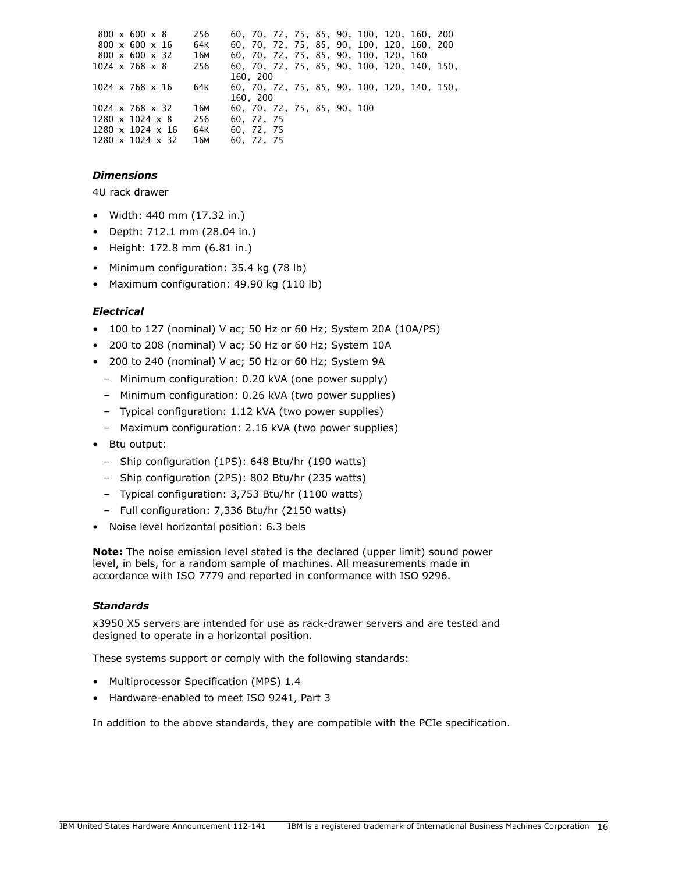|  | $800 \times 600 \times 8$    | 256             |                             |  |  |                                       | 60, 70, 72, 75, 85, 90, 100, 120, 160, 200  |  |
|--|------------------------------|-----------------|-----------------------------|--|--|---------------------------------------|---------------------------------------------|--|
|  | $800 \times 600 \times 16$   | 64K             |                             |  |  |                                       | 60, 70, 72, 75, 85, 90, 100, 120, 160, 200  |  |
|  | $800 \times 600 \times 32$   | 16M             |                             |  |  | 60, 70, 72, 75, 85, 90, 100, 120, 160 |                                             |  |
|  | $1024 \times 768 \times 8$   | 256             |                             |  |  |                                       | 60, 70, 72, 75, 85, 90, 100, 120, 140, 150, |  |
|  |                              |                 | 160. 200                    |  |  |                                       |                                             |  |
|  | $1024 \times 768 \times 16$  | 64K             |                             |  |  |                                       | 60, 70, 72, 75, 85, 90, 100, 120, 140, 150, |  |
|  |                              |                 | 160, 200                    |  |  |                                       |                                             |  |
|  | $1024 \times 768 \times 32$  | 16M             | 60, 70, 72, 75, 85, 90, 100 |  |  |                                       |                                             |  |
|  | $1280 \times 1024 \times 8$  | 256             | 60. 72. 75                  |  |  |                                       |                                             |  |
|  | $1280 \times 1024 \times 16$ | 64K             | 60. 72. 75                  |  |  |                                       |                                             |  |
|  | $1280 \times 1024 \times 32$ | 16 <sub>M</sub> | 60. 72. 75                  |  |  |                                       |                                             |  |

## *Dimensions*

4U rack drawer

- Width: 440 mm (17.32 in.)
- Depth: 712.1 mm (28.04 in.)
- Height: 172.8 mm (6.81 in.)
- Minimum configuration: 35.4 kg (78 lb)
- Maximum configuration: 49.90 kg (110 lb)

#### *Electrical*

- 100 to 127 (nominal) V ac; 50 Hz or 60 Hz; System 20A (10A/PS)
- 200 to 208 (nominal) V ac; 50 Hz or 60 Hz; System 10A
- 200 to 240 (nominal) V ac; 50 Hz or 60 Hz; System 9A
	- Minimum configuration: 0.20 kVA (one power supply)
	- Minimum configuration: 0.26 kVA (two power supplies)
	- Typical configuration: 1.12 kVA (two power supplies)
	- Maximum configuration: 2.16 kVA (two power supplies)
- Btu output:
	- Ship configuration (1PS): 648 Btu/hr (190 watts)
	- Ship configuration (2PS): 802 Btu/hr (235 watts)
	- Typical configuration: 3,753 Btu/hr (1100 watts)
	- Full configuration: 7,336 Btu/hr (2150 watts)
- Noise level horizontal position: 6.3 bels

**Note:** The noise emission level stated is the declared (upper limit) sound power level, in bels, for a random sample of machines. All measurements made in accordance with ISO 7779 and reported in conformance with ISO 9296.

## *Standards*

x3950 X5 servers are intended for use as rack-drawer servers and are tested and designed to operate in a horizontal position.

These systems support or comply with the following standards:

- Multiprocessor Specification (MPS) 1.4
- Hardware-enabled to meet ISO 9241, Part 3

In addition to the above standards, they are compatible with the PCIe specification.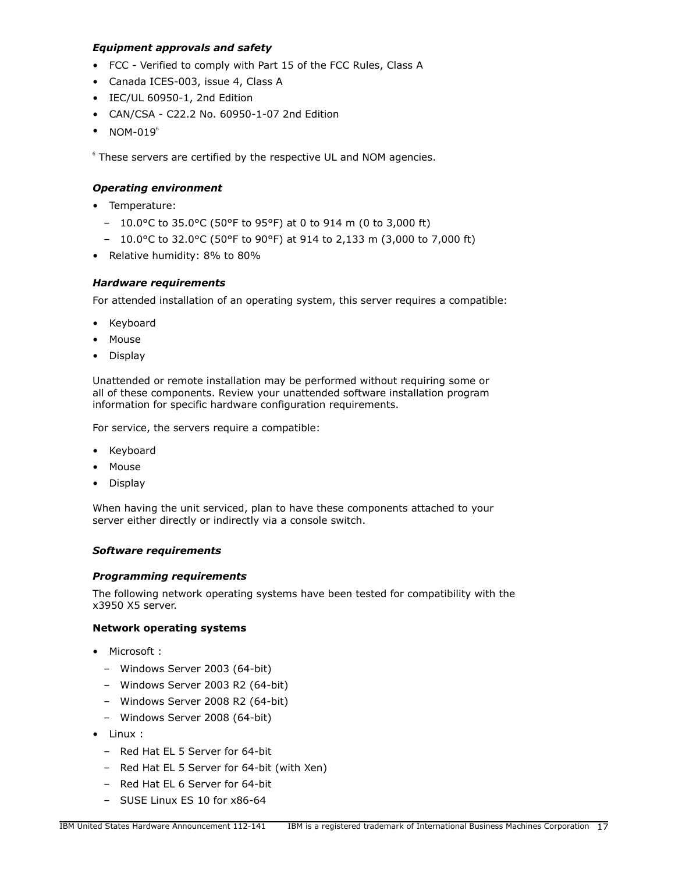## *Equipment approvals and safety*

- FCC Verified to comply with Part 15 of the FCC Rules, Class A
- Canada ICES-003, issue 4, Class A
- IEC/UL 60950-1, 2nd Edition
- CAN/CSA C22.2 No. 60950-1-07 2nd Edition
- $\bullet$  NOM-019 $^6$

 $6$  These servers are certified by the respective UL and NOM agencies.

## *Operating environment*

- Temperature:
	- 10.0°C to 35.0°C (50°F to 95°F) at 0 to 914 m (0 to 3,000 ft)
	- 10.0°C to 32.0°C (50°F to 90°F) at 914 to 2,133 m (3,000 to 7,000 ft)
- Relative humidity: 8% to 80%

## <span id="page-16-0"></span>*Hardware requirements*

For attended installation of an operating system, this server requires a compatible:

- Keyboard
- Mouse
- Display

Unattended or remote installation may be performed without requiring some or all of these components. Review your unattended software installation program information for specific hardware configuration requirements.

For service, the servers require a compatible:

- Keyboard
- Mouse
- Display

When having the unit serviced, plan to have these components attached to your server either directly or indirectly via a console switch.

## *Software requirements*

## *Programming requirements*

The following network operating systems have been tested for compatibility with the x3950 X5 server.

## **Network operating systems**

- Microsoft :
	- Windows Server 2003 (64-bit)
	- Windows Server 2003 R2 (64-bit)
	- Windows Server 2008 R2 (64-bit)
	- Windows Server 2008 (64-bit)
- Linux :
	- Red Hat EL 5 Server for 64-bit
	- Red Hat EL 5 Server for 64-bit (with Xen)
	- Red Hat EL 6 Server for 64-bit
	- SUSE Linux ES 10 for x86-64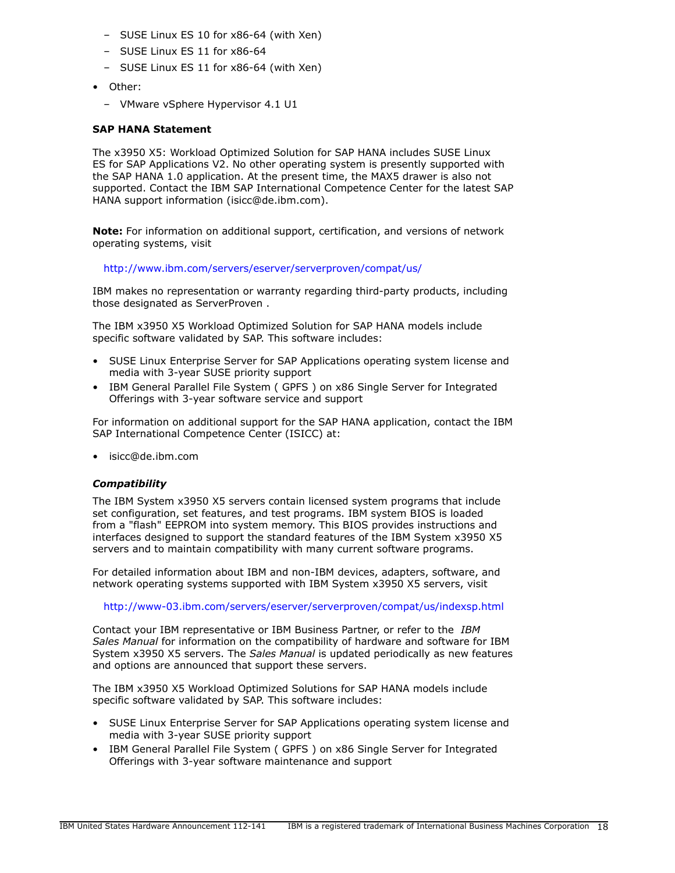- SUSE Linux ES 10 for x86-64 (with Xen)
- SUSE Linux ES 11 for x86-64
- SUSE Linux ES 11 for x86-64 (with Xen)
- Other:
	- VMware vSphere Hypervisor 4.1 U1

#### **SAP HANA Statement**

The x3950 X5: Workload Optimized Solution for SAP HANA includes SUSE Linux ES for SAP Applications V2. No other operating system is presently supported with the SAP HANA 1.0 application. At the present time, the MAX5 drawer is also not supported. Contact the IBM SAP International Competence Center for the latest SAP HANA support information (isicc@de.ibm.com).

**Note:** For information on additional support, certification, and versions of network operating systems, visit

<http://www.ibm.com/servers/eserver/serverproven/compat/us/>

IBM makes no representation or warranty regarding third-party products, including those designated as ServerProven .

The IBM x3950 X5 Workload Optimized Solution for SAP HANA models include specific software validated by SAP. This software includes:

- SUSE Linux Enterprise Server for SAP Applications operating system license and media with 3-year SUSE priority support
- IBM General Parallel File System ( GPFS ) on x86 Single Server for Integrated Offerings with 3-year software service and support

For information on additional support for the SAP HANA application, contact the IBM SAP International Competence Center (ISICC) at:

• isicc@de.ibm.com

## *Compatibility*

The IBM System x3950 X5 servers contain licensed system programs that include set configuration, set features, and test programs. IBM system BIOS is loaded from a "flash" EEPROM into system memory. This BIOS provides instructions and interfaces designed to support the standard features of the IBM System x3950 X5 servers and to maintain compatibility with many current software programs.

For detailed information about IBM and non-IBM devices, adapters, software, and network operating systems supported with IBM System x3950 X5 servers, visit

<http://www-03.ibm.com/servers/eserver/serverproven/compat/us/indexsp.html>

Contact your IBM representative or IBM Business Partner, or refer to the *IBM Sales Manual* for information on the compatibility of hardware and software for IBM System x3950 X5 servers. The *Sales Manual* is updated periodically as new features and options are announced that support these servers.

The IBM x3950 X5 Workload Optimized Solutions for SAP HANA models include specific software validated by SAP. This software includes:

- SUSE Linux Enterprise Server for SAP Applications operating system license and media with 3-year SUSE priority support
- IBM General Parallel File System ( GPFS ) on x86 Single Server for Integrated Offerings with 3-year software maintenance and support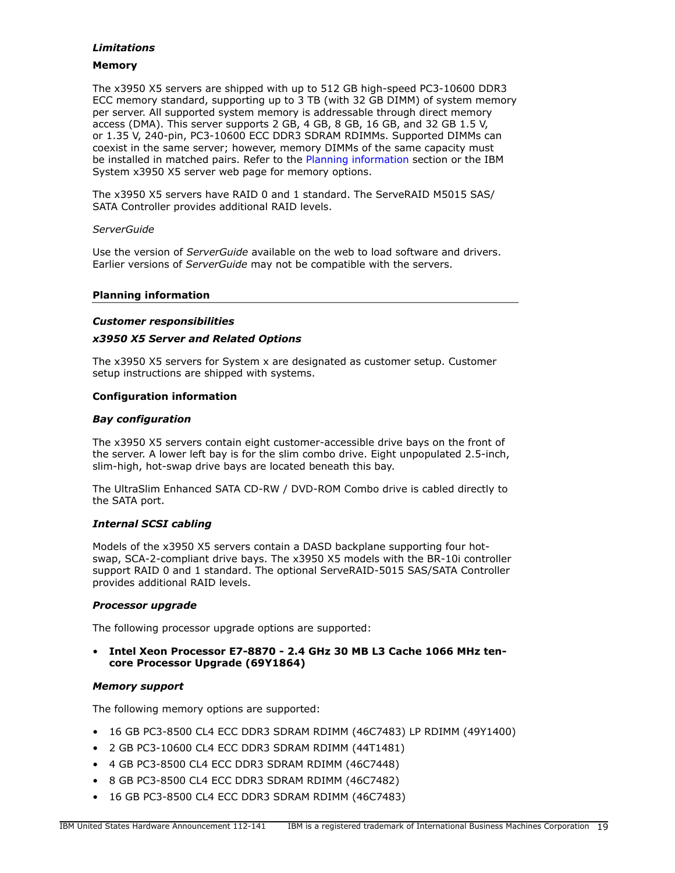## *Limitations*

## **Memory**

The x3950 X5 servers are shipped with up to 512 GB high-speed PC3-10600 DDR3 ECC memory standard, supporting up to 3 TB (with 32 GB DIMM) of system memory per server. All supported system memory is addressable through direct memory access (DMA). This server supports 2 GB, 4 GB, 8 GB, 16 GB, and 32 GB 1.5 V, or 1.35 V, 240-pin, PC3-10600 ECC DDR3 SDRAM RDIMMs. Supported DIMMs can coexist in the same server; however, memory DIMMs of the same capacity must be installed in matched pairs. Refer to the [Planning information](#page-18-0) section or the IBM System x3950 X5 server web page for memory options.

The x3950 X5 servers have RAID 0 and 1 standard. The ServeRAID M5015 SAS/ SATA Controller provides additional RAID levels.

## *ServerGuide*

Use the version of *ServerGuide* available on the web to load software and drivers. Earlier versions of *ServerGuide* may not be compatible with the servers.

## <span id="page-18-0"></span>**Planning information**

## *Customer responsibilities*

## *x3950 X5 Server and Related Options*

The x3950 X5 servers for System x are designated as customer setup. Customer setup instructions are shipped with systems.

#### **Configuration information**

#### *Bay configuration*

The x3950 X5 servers contain eight customer-accessible drive bays on the front of the server. A lower left bay is for the slim combo drive. Eight unpopulated 2.5-inch, slim-high, hot-swap drive bays are located beneath this bay.

The UltraSlim Enhanced SATA CD-RW / DVD-ROM Combo drive is cabled directly to the SATA port.

#### *Internal SCSI cabling*

Models of the x3950 X5 servers contain a DASD backplane supporting four hotswap, SCA-2-compliant drive bays. The x3950 X5 models with the BR-10i controller support RAID 0 and 1 standard. The optional ServeRAID-5015 SAS/SATA Controller provides additional RAID levels.

#### *Processor upgrade*

The following processor upgrade options are supported:

## • **Intel Xeon Processor E7-8870 - 2.4 GHz 30 MB L3 Cache 1066 MHz tencore Processor Upgrade (69Y1864)**

#### *Memory support*

The following memory options are supported:

- 16 GB PC3-8500 CL4 ECC DDR3 SDRAM RDIMM (46C7483) LP RDIMM (49Y1400)
- 2 GB PC3-10600 CL4 ECC DDR3 SDRAM RDIMM (44T1481)
- 4 GB PC3-8500 CL4 ECC DDR3 SDRAM RDIMM (46C7448)
- 8 GB PC3-8500 CL4 ECC DDR3 SDRAM RDIMM (46C7482)
- 16 GB PC3-8500 CL4 ECC DDR3 SDRAM RDIMM (46C7483)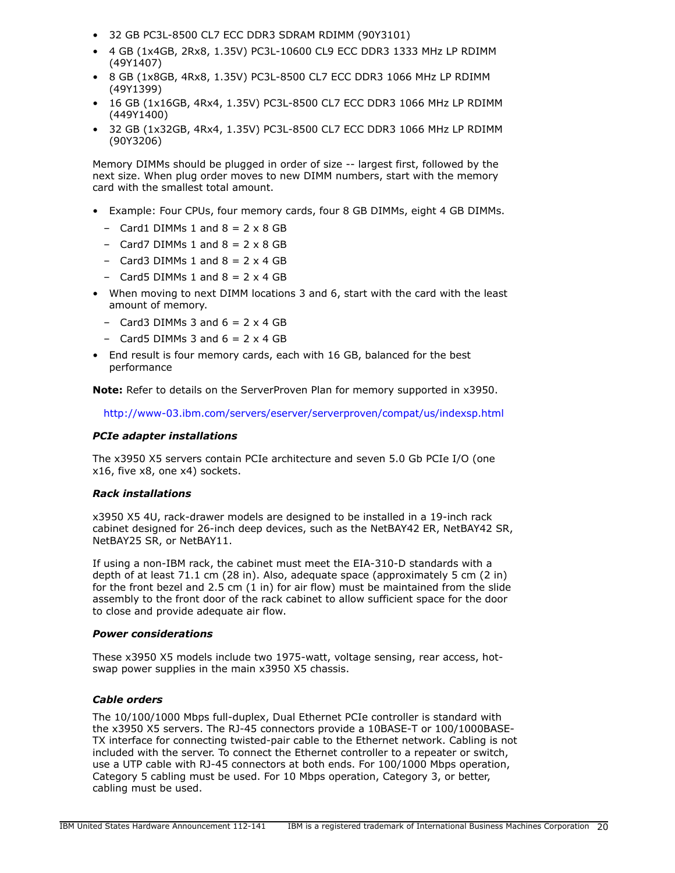- 32 GB PC3L-8500 CL7 ECC DDR3 SDRAM RDIMM (90Y3101)
- 4 GB (1x4GB, 2Rx8, 1.35V) PC3L-10600 CL9 ECC DDR3 1333 MHz LP RDIMM (49Y1407)
- 8 GB (1x8GB, 4Rx8, 1.35V) PC3L-8500 CL7 ECC DDR3 1066 MHz LP RDIMM (49Y1399)
- 16 GB (1x16GB, 4Rx4, 1.35V) PC3L-8500 CL7 ECC DDR3 1066 MHz LP RDIMM (449Y1400)
- 32 GB (1x32GB, 4Rx4, 1.35V) PC3L-8500 CL7 ECC DDR3 1066 MHz LP RDIMM (90Y3206)

Memory DIMMs should be plugged in order of size -- largest first, followed by the next size. When plug order moves to new DIMM numbers, start with the memory card with the smallest total amount.

- Example: Four CPUs, four memory cards, four 8 GB DIMMs, eight 4 GB DIMMs.
	- $-$  Card1 DIMMs 1 and  $8 = 2 \times 8$  GB
	- $-$  Card7 DIMMs 1 and  $8 = 2 \times 8$  GB
	- $-$  Card3 DIMMs 1 and  $8 = 2 \times 4$  GB
	- Card5 DIMMs  $1$  and  $8 = 2 \times 4$  GB
- When moving to next DIMM locations 3 and 6, start with the card with the least amount of memory.
	- $-$  Card3 DIMMs 3 and  $6 = 2 \times 4$  GB
	- Card5 DIMMs 3 and  $6 = 2 \times 4$  GB
- End result is four memory cards, each with 16 GB, balanced for the best performance

**Note:** Refer to details on the ServerProven Plan for memory supported in x3950.

<http://www-03.ibm.com/servers/eserver/serverproven/compat/us/indexsp.html>

#### *PCIe adapter installations*

The x3950 X5 servers contain PCIe architecture and seven 5.0 Gb PCIe I/O (one x16, five x8, one x4) sockets.

#### *Rack installations*

x3950 X5 4U, rack-drawer models are designed to be installed in a 19-inch rack cabinet designed for 26-inch deep devices, such as the NetBAY42 ER, NetBAY42 SR, NetBAY25 SR, or NetBAY11.

If using a non-IBM rack, the cabinet must meet the EIA-310-D standards with a depth of at least 71.1 cm (28 in). Also, adequate space (approximately 5 cm (2 in) for the front bezel and  $2.5$  cm  $(1 \text{ in})$  for air flow) must be maintained from the slide assembly to the front door of the rack cabinet to allow sufficient space for the door to close and provide adequate air flow.

#### *Power considerations*

These x3950 X5 models include two 1975-watt, voltage sensing, rear access, hotswap power supplies in the main x3950 X5 chassis.

#### *Cable orders*

The 10/100/1000 Mbps full-duplex, Dual Ethernet PCIe controller is standard with the x3950 X5 servers. The RJ-45 connectors provide a 10BASE-T or 100/1000BASE-TX interface for connecting twisted-pair cable to the Ethernet network. Cabling is not included with the server. To connect the Ethernet controller to a repeater or switch, use a UTP cable with RJ-45 connectors at both ends. For 100/1000 Mbps operation, Category 5 cabling must be used. For 10 Mbps operation, Category 3, or better, cabling must be used.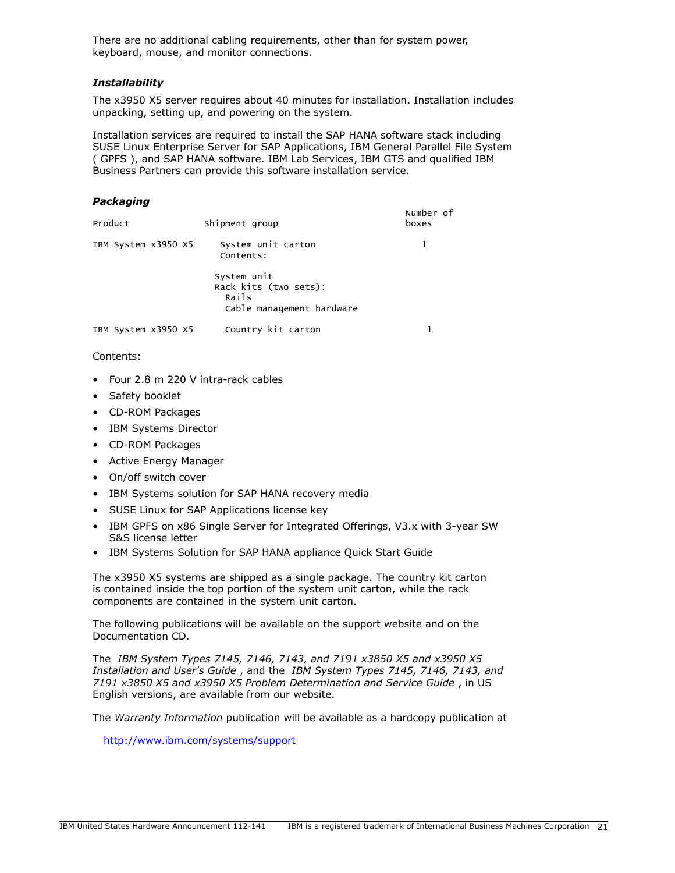There are no additional cabling requirements, other than for system power, keyboard, mouse, and monitor connections.

## *Installability*

The x3950 X5 server requires about 40 minutes for installation. Installation includes unpacking, setting up, and powering on the system.

Installation services are required to install the SAP HANA software stack including SUSE Linux Enterprise Server for SAP Applications, IBM General Parallel File System ( GPFS ), and SAP HANA software. IBM Lab Services, IBM GTS and qualified IBM Business Partners can provide this software installation service.

#### *Packaging*

| Product             | Shipment group                                                             | Number of<br>boxes |
|---------------------|----------------------------------------------------------------------------|--------------------|
| IBM System x3950 X5 | System unit carton<br>Contents:                                            |                    |
|                     | System unit<br>Rack kits (two sets):<br>Rails<br>Cable management hardware |                    |
| IBM System x3950 X5 | Country kit carton                                                         |                    |

Contents:

- Four 2.8 m 220 V intra-rack cables
- Safety booklet
- CD-ROM Packages
- IBM Systems Director
- CD-ROM Packages
- Active Energy Manager
- On/off switch cover
- IBM Systems solution for SAP HANA recovery media
- SUSE Linux for SAP Applications license key
- IBM GPFS on x86 Single Server for Integrated Offerings, V3.x with 3-year SW S&S license letter
- IBM Systems Solution for SAP HANA appliance Quick Start Guide

The x3950 X5 systems are shipped as a single package. The country kit carton is contained inside the top portion of the system unit carton, while the rack components are contained in the system unit carton.

The following publications will be available on the support website and on the Documentation CD.

The *IBM System Types 7145, 7146, 7143, and 7191 x3850 X5 and x3950 X5 Installation and User's Guide* , and the *IBM System Types 7145, 7146, 7143, and 7191 x3850 X5 and x3950 X5 Problem Determination and Service Guide* , in US English versions, are available from our website.

The *Warranty Information* publication will be available as a hardcopy publication at

<http://www.ibm.com/systems/support>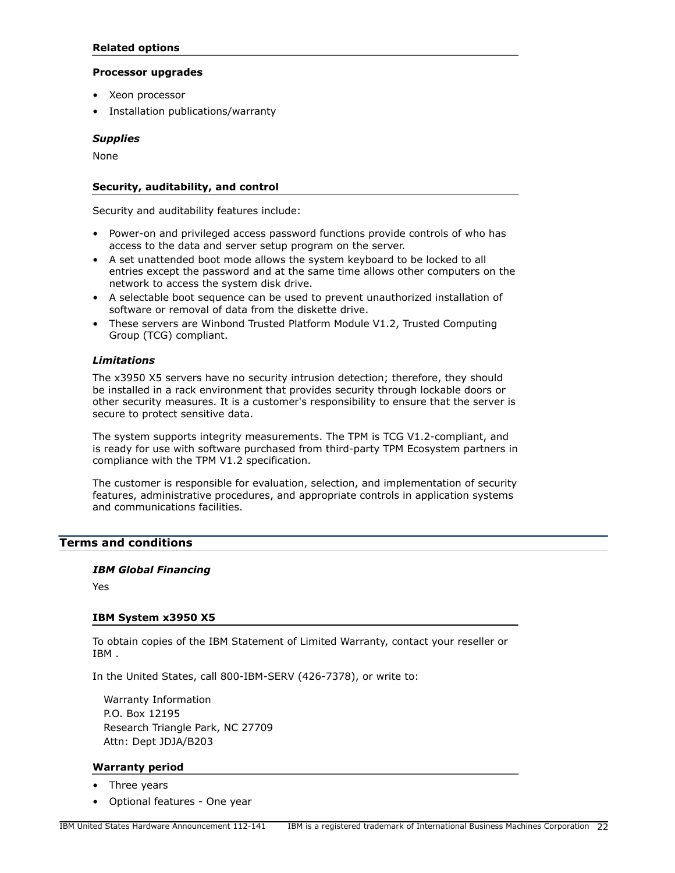## **Related options**

#### **Processor upgrades**

- Xeon processor
- Installation publications/warranty

## *Supplies*

None

## **Security, auditability, and control**

Security and auditability features include:

- Power-on and privileged access password functions provide controls of who has access to the data and server setup program on the server.
- A set unattended boot mode allows the system keyboard to be locked to all entries except the password and at the same time allows other computers on the network to access the system disk drive.
- A selectable boot sequence can be used to prevent unauthorized installation of software or removal of data from the diskette drive.
- These servers are Winbond Trusted Platform Module V1.2, Trusted Computing Group (TCG) compliant.

## *Limitations*

The x3950 X5 servers have no security intrusion detection; therefore, they should be installed in a rack environment that provides security through lockable doors or other security measures. It is a customer's responsibility to ensure that the server is secure to protect sensitive data.

The system supports integrity measurements. The TPM is TCG V1.2-compliant, and is ready for use with software purchased from third-party TPM Ecosystem partners in compliance with the TPM V1.2 specification.

The customer is responsible for evaluation, selection, and implementation of security features, administrative procedures, and appropriate controls in application systems and communications facilities.

## <span id="page-21-0"></span>**Terms and conditions**

## *IBM Global Financing*

Yes

#### **IBM System x3950 X5**

To obtain copies of the IBM Statement of Limited Warranty, contact your reseller or IBM .

In the United States, call 800-IBM-SERV (426-7378), or write to:

Warranty Information P.O. Box 12195 Research Triangle Park, NC 27709 Attn: Dept JDJA/B203

#### **Warranty period**

- Three years
- Optional features One year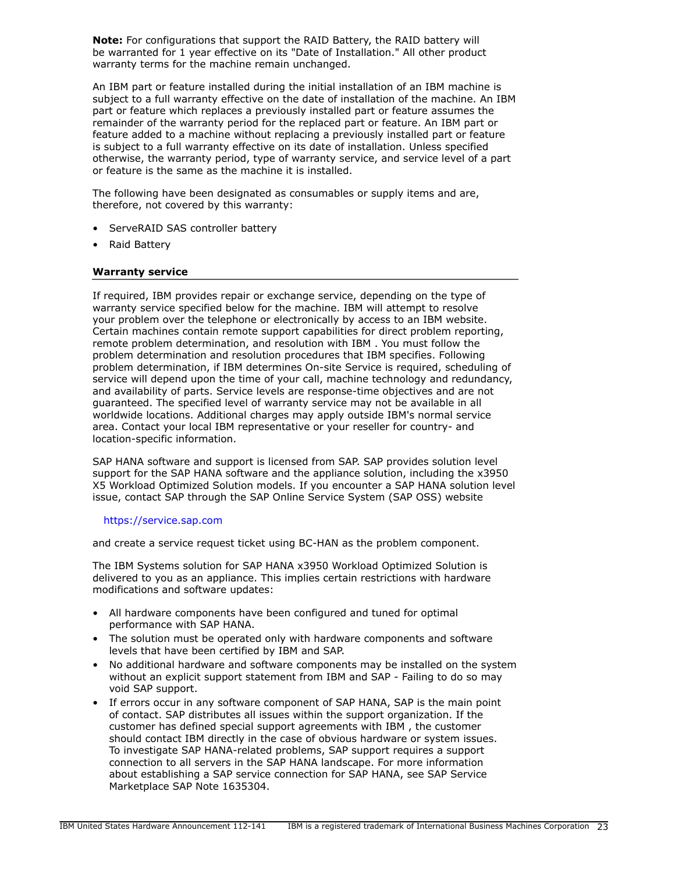**Note:** For configurations that support the RAID Battery, the RAID battery will be warranted for 1 year effective on its "Date of Installation." All other product warranty terms for the machine remain unchanged.

An IBM part or feature installed during the initial installation of an IBM machine is subject to a full warranty effective on the date of installation of the machine. An IBM part or feature which replaces a previously installed part or feature assumes the remainder of the warranty period for the replaced part or feature. An IBM part or feature added to a machine without replacing a previously installed part or feature is subject to a full warranty effective on its date of installation. Unless specified otherwise, the warranty period, type of warranty service, and service level of a part or feature is the same as the machine it is installed.

The following have been designated as consumables or supply items and are, therefore, not covered by this warranty:

- ServeRAID SAS controller battery
- Raid Battery

#### **Warranty service**

If required, IBM provides repair or exchange service, depending on the type of warranty service specified below for the machine. IBM will attempt to resolve your problem over the telephone or electronically by access to an IBM website. Certain machines contain remote support capabilities for direct problem reporting, remote problem determination, and resolution with IBM . You must follow the problem determination and resolution procedures that IBM specifies. Following problem determination, if IBM determines On-site Service is required, scheduling of service will depend upon the time of your call, machine technology and redundancy, and availability of parts. Service levels are response-time objectives and are not guaranteed. The specified level of warranty service may not be available in all worldwide locations. Additional charges may apply outside IBM's normal service area. Contact your local IBM representative or your reseller for country- and location-specific information.

SAP HANA software and support is licensed from SAP. SAP provides solution level support for the SAP HANA software and the appliance solution, including the x3950 X5 Workload Optimized Solution models. If you encounter a SAP HANA solution level issue, contact SAP through the SAP Online Service System (SAP OSS) website

#### <https://service.sap.com>

and create a service request ticket using BC-HAN as the problem component.

The IBM Systems solution for SAP HANA x3950 Workload Optimized Solution is delivered to you as an appliance. This implies certain restrictions with hardware modifications and software updates:

- All hardware components have been configured and tuned for optimal performance with SAP HANA.
- The solution must be operated only with hardware components and software levels that have been certified by IBM and SAP.
- No additional hardware and software components may be installed on the system without an explicit support statement from IBM and SAP - Failing to do so may void SAP support.
- If errors occur in any software component of SAP HANA, SAP is the main point of contact. SAP distributes all issues within the support organization. If the customer has defined special support agreements with IBM , the customer should contact IBM directly in the case of obvious hardware or system issues. To investigate SAP HANA-related problems, SAP support requires a support connection to all servers in the SAP HANA landscape. For more information about establishing a SAP service connection for SAP HANA, see SAP Service Marketplace SAP Note 1635304.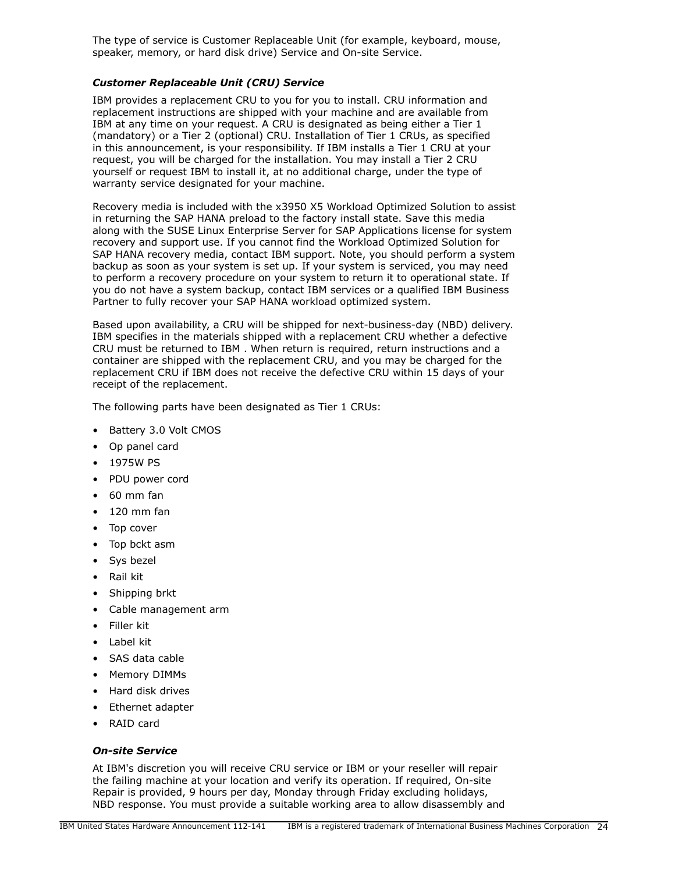The type of service is Customer Replaceable Unit (for example, keyboard, mouse, speaker, memory, or hard disk drive) Service and On-site Service.

## *Customer Replaceable Unit (CRU) Service*

IBM provides a replacement CRU to you for you to install. CRU information and replacement instructions are shipped with your machine and are available from IBM at any time on your request. A CRU is designated as being either a Tier 1 (mandatory) or a Tier 2 (optional) CRU. Installation of Tier 1 CRUs, as specified in this announcement, is your responsibility. If IBM installs a Tier 1 CRU at your request, you will be charged for the installation. You may install a Tier 2 CRU yourself or request IBM to install it, at no additional charge, under the type of warranty service designated for your machine.

Recovery media is included with the x3950 X5 Workload Optimized Solution to assist in returning the SAP HANA preload to the factory install state. Save this media along with the SUSE Linux Enterprise Server for SAP Applications license for system recovery and support use. If you cannot find the Workload Optimized Solution for SAP HANA recovery media, contact IBM support. Note, you should perform a system backup as soon as your system is set up. If your system is serviced, you may need to perform a recovery procedure on your system to return it to operational state. If you do not have a system backup, contact IBM services or a qualified IBM Business Partner to fully recover your SAP HANA workload optimized system.

Based upon availability, a CRU will be shipped for next-business-day (NBD) delivery. IBM specifies in the materials shipped with a replacement CRU whether a defective CRU must be returned to IBM . When return is required, return instructions and a container are shipped with the replacement CRU, and you may be charged for the replacement CRU if IBM does not receive the defective CRU within 15 days of your receipt of the replacement.

The following parts have been designated as Tier 1 CRUs:

- Battery 3.0 Volt CMOS
- Op panel card
- 1975W PS
- PDU power cord
- 60 mm fan
- 120 mm fan
- Top cover
- Top bckt asm
- Sys bezel
- Rail kit
- Shipping brkt
- Cable management arm
- Filler kit
- Label kit
- SAS data cable
- Memory DIMMs
- Hard disk drives
- Ethernet adapter
- RAID card

#### *On-site Service*

At IBM's discretion you will receive CRU service or IBM or your reseller will repair the failing machine at your location and verify its operation. If required, On-site Repair is provided, 9 hours per day, Monday through Friday excluding holidays, NBD response. You must provide a suitable working area to allow disassembly and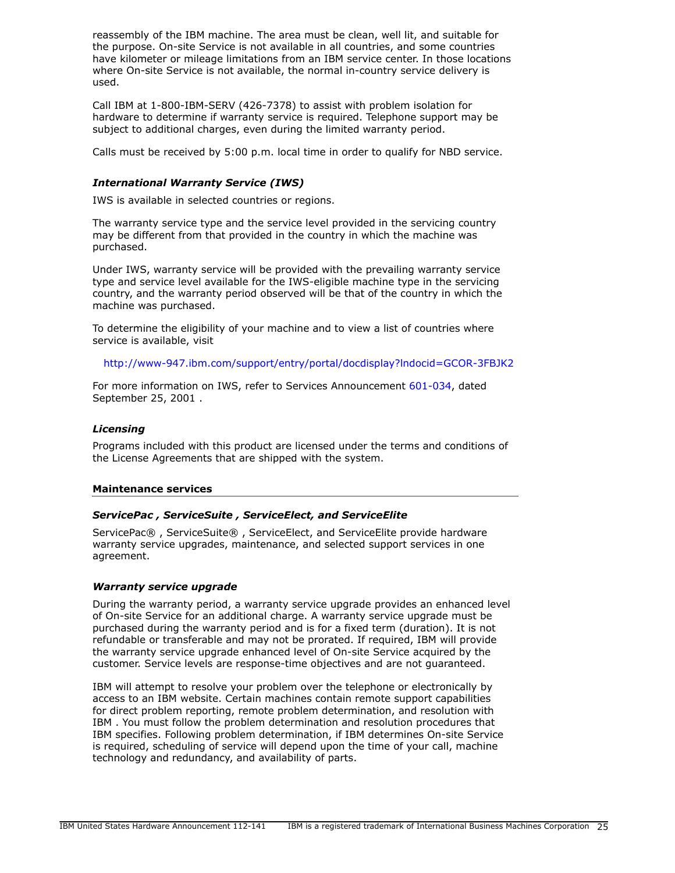reassembly of the IBM machine. The area must be clean, well lit, and suitable for the purpose. On-site Service is not available in all countries, and some countries have kilometer or mileage limitations from an IBM service center. In those locations where On-site Service is not available, the normal in-country service delivery is used.

Call IBM at 1-800-IBM-SERV (426-7378) to assist with problem isolation for hardware to determine if warranty service is required. Telephone support may be subject to additional charges, even during the limited warranty period.

Calls must be received by 5:00 p.m. local time in order to qualify for NBD service.

## *International Warranty Service (IWS)*

IWS is available in selected countries or regions.

The warranty service type and the service level provided in the servicing country may be different from that provided in the country in which the machine was purchased.

Under IWS, warranty service will be provided with the prevailing warranty service type and service level available for the IWS-eligible machine type in the servicing country, and the warranty period observed will be that of the country in which the machine was purchased.

To determine the eligibility of your machine and to view a list of countries where service is available, visit

<http://www-947.ibm.com/support/entry/portal/docdisplay?lndocid=GCOR-3FBJK2>

For more information on IWS, refer to Services Announcement [601-034,](http://www.ibm.com/common/ssi/cgi-bin/ssialias?infotype=an&subtype=ca&appname=gpateam&supplier=897&letternum=ENUS601-034) dated September 25, 2001 .

#### *Licensing*

Programs included with this product are licensed under the terms and conditions of the License Agreements that are shipped with the system.

#### **Maintenance services**

#### *ServicePac , ServiceSuite , ServiceElect, and ServiceElite*

ServicePac® , ServiceSuite® , ServiceElect, and ServiceElite provide hardware warranty service upgrades, maintenance, and selected support services in one agreement.

#### *Warranty service upgrade*

During the warranty period, a warranty service upgrade provides an enhanced level of On-site Service for an additional charge. A warranty service upgrade must be purchased during the warranty period and is for a fixed term (duration). It is not refundable or transferable and may not be prorated. If required, IBM will provide the warranty service upgrade enhanced level of On-site Service acquired by the customer. Service levels are response-time objectives and are not guaranteed.

IBM will attempt to resolve your problem over the telephone or electronically by access to an IBM website. Certain machines contain remote support capabilities for direct problem reporting, remote problem determination, and resolution with IBM . You must follow the problem determination and resolution procedures that IBM specifies. Following problem determination, if IBM determines On-site Service is required, scheduling of service will depend upon the time of your call, machine technology and redundancy, and availability of parts.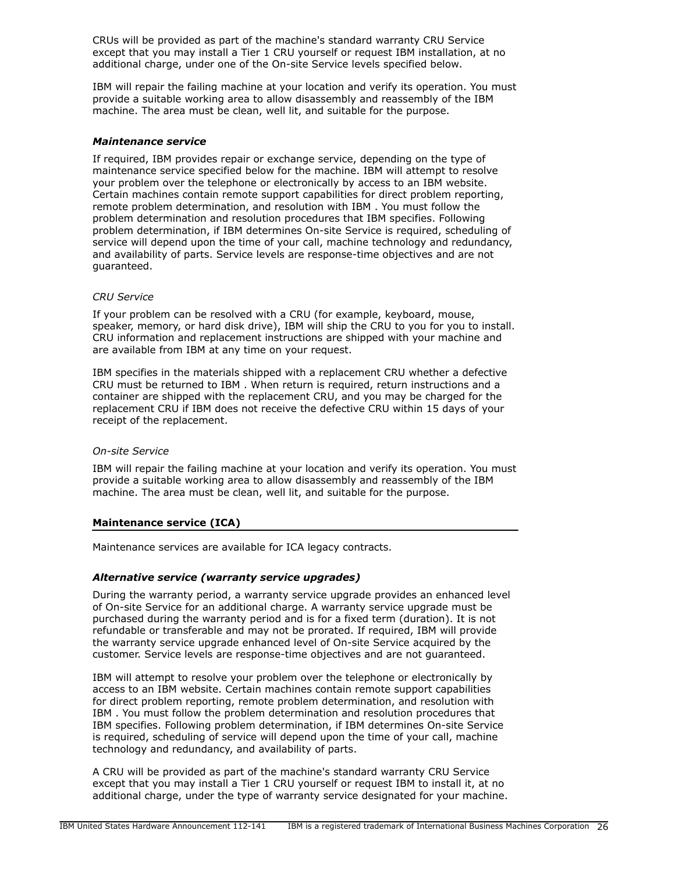CRUs will be provided as part of the machine's standard warranty CRU Service except that you may install a Tier 1 CRU yourself or request IBM installation, at no additional charge, under one of the On-site Service levels specified below.

IBM will repair the failing machine at your location and verify its operation. You must provide a suitable working area to allow disassembly and reassembly of the IBM machine. The area must be clean, well lit, and suitable for the purpose.

#### *Maintenance service*

If required, IBM provides repair or exchange service, depending on the type of maintenance service specified below for the machine. IBM will attempt to resolve your problem over the telephone or electronically by access to an IBM website. Certain machines contain remote support capabilities for direct problem reporting, remote problem determination, and resolution with IBM . You must follow the problem determination and resolution procedures that IBM specifies. Following problem determination, if IBM determines On-site Service is required, scheduling of service will depend upon the time of your call, machine technology and redundancy, and availability of parts. Service levels are response-time objectives and are not guaranteed.

## *CRU Service*

If your problem can be resolved with a CRU (for example, keyboard, mouse, speaker, memory, or hard disk drive), IBM will ship the CRU to you for you to install. CRU information and replacement instructions are shipped with your machine and are available from IBM at any time on your request.

IBM specifies in the materials shipped with a replacement CRU whether a defective CRU must be returned to IBM . When return is required, return instructions and a container are shipped with the replacement CRU, and you may be charged for the replacement CRU if IBM does not receive the defective CRU within 15 days of your receipt of the replacement.

#### *On-site Service*

IBM will repair the failing machine at your location and verify its operation. You must provide a suitable working area to allow disassembly and reassembly of the IBM machine. The area must be clean, well lit, and suitable for the purpose.

#### **Maintenance service (ICA)**

Maintenance services are available for ICA legacy contracts.

## *Alternative service (warranty service upgrades)*

During the warranty period, a warranty service upgrade provides an enhanced level of On-site Service for an additional charge. A warranty service upgrade must be purchased during the warranty period and is for a fixed term (duration). It is not refundable or transferable and may not be prorated. If required, IBM will provide the warranty service upgrade enhanced level of On-site Service acquired by the customer. Service levels are response-time objectives and are not guaranteed.

IBM will attempt to resolve your problem over the telephone or electronically by access to an IBM website. Certain machines contain remote support capabilities for direct problem reporting, remote problem determination, and resolution with IBM . You must follow the problem determination and resolution procedures that IBM specifies. Following problem determination, if IBM determines On-site Service is required, scheduling of service will depend upon the time of your call, machine technology and redundancy, and availability of parts.

A CRU will be provided as part of the machine's standard warranty CRU Service except that you may install a Tier 1 CRU yourself or request IBM to install it, at no additional charge, under the type of warranty service designated for your machine.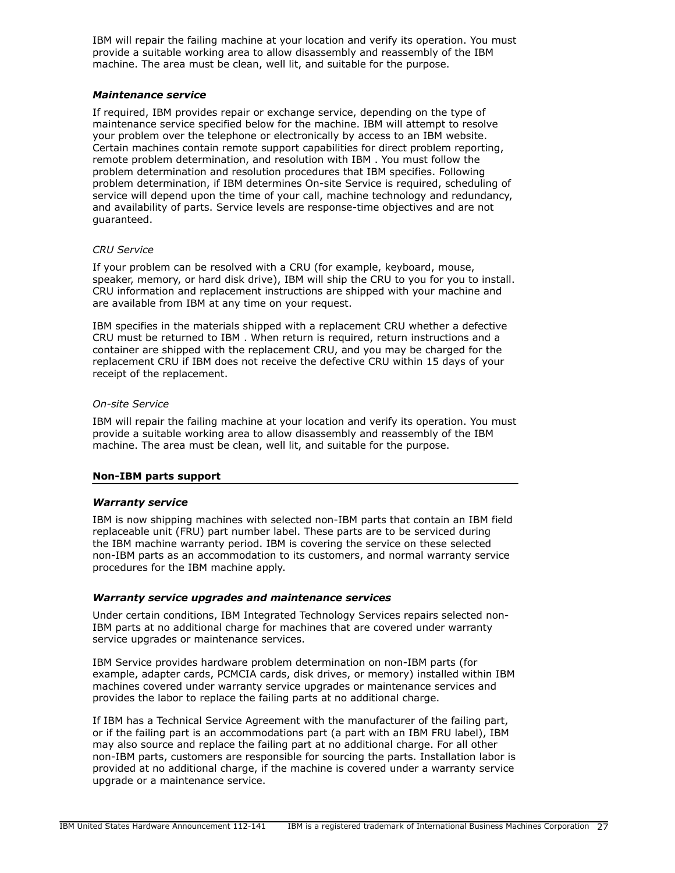IBM will repair the failing machine at your location and verify its operation. You must provide a suitable working area to allow disassembly and reassembly of the IBM machine. The area must be clean, well lit, and suitable for the purpose.

#### *Maintenance service*

If required, IBM provides repair or exchange service, depending on the type of maintenance service specified below for the machine. IBM will attempt to resolve your problem over the telephone or electronically by access to an IBM website. Certain machines contain remote support capabilities for direct problem reporting, remote problem determination, and resolution with IBM . You must follow the problem determination and resolution procedures that IBM specifies. Following problem determination, if IBM determines On-site Service is required, scheduling of service will depend upon the time of your call, machine technology and redundancy, and availability of parts. Service levels are response-time objectives and are not guaranteed.

## *CRU Service*

If your problem can be resolved with a CRU (for example, keyboard, mouse, speaker, memory, or hard disk drive), IBM will ship the CRU to you for you to install. CRU information and replacement instructions are shipped with your machine and are available from IBM at any time on your request.

IBM specifies in the materials shipped with a replacement CRU whether a defective CRU must be returned to IBM . When return is required, return instructions and a container are shipped with the replacement CRU, and you may be charged for the replacement CRU if IBM does not receive the defective CRU within 15 days of your receipt of the replacement.

#### *On-site Service*

IBM will repair the failing machine at your location and verify its operation. You must provide a suitable working area to allow disassembly and reassembly of the IBM machine. The area must be clean, well lit, and suitable for the purpose.

## **Non-IBM parts support**

## *Warranty service*

IBM is now shipping machines with selected non-IBM parts that contain an IBM field replaceable unit (FRU) part number label. These parts are to be serviced during the IBM machine warranty period. IBM is covering the service on these selected non-IBM parts as an accommodation to its customers, and normal warranty service procedures for the IBM machine apply.

## *Warranty service upgrades and maintenance services*

Under certain conditions, IBM Integrated Technology Services repairs selected non-IBM parts at no additional charge for machines that are covered under warranty service upgrades or maintenance services.

IBM Service provides hardware problem determination on non-IBM parts (for example, adapter cards, PCMCIA cards, disk drives, or memory) installed within IBM machines covered under warranty service upgrades or maintenance services and provides the labor to replace the failing parts at no additional charge.

If IBM has a Technical Service Agreement with the manufacturer of the failing part, or if the failing part is an accommodations part (a part with an IBM FRU label), IBM may also source and replace the failing part at no additional charge. For all other non-IBM parts, customers are responsible for sourcing the parts. Installation labor is provided at no additional charge, if the machine is covered under a warranty service upgrade or a maintenance service.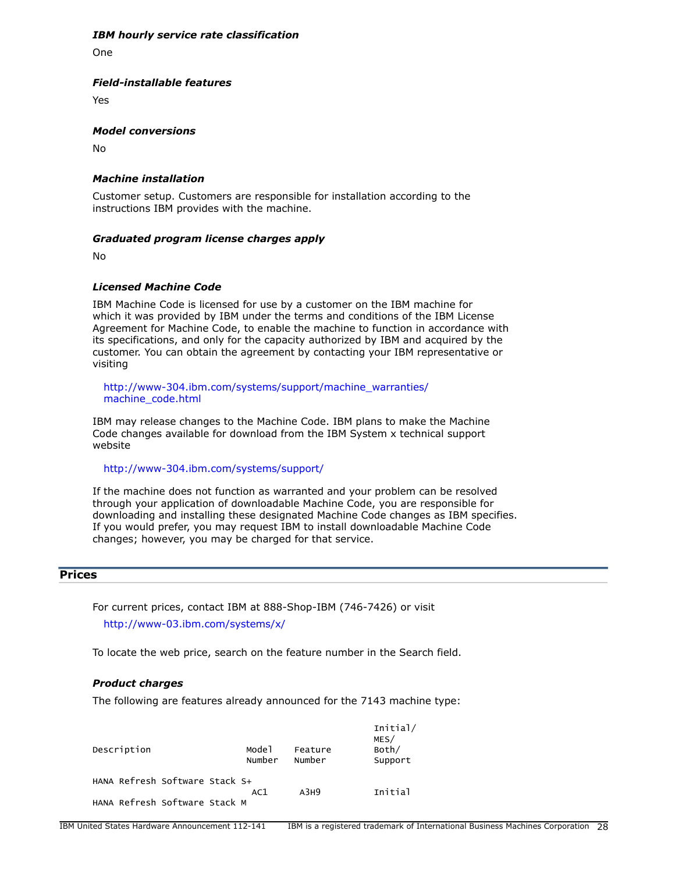#### *IBM hourly service rate classification*

One

#### *Field-installable features*

Yes

#### *Model conversions*

No

## *Machine installation*

Customer setup. Customers are responsible for installation according to the instructions IBM provides with the machine.

#### *Graduated program license charges apply*

No

## *Licensed Machine Code*

IBM Machine Code is licensed for use by a customer on the IBM machine for which it was provided by IBM under the terms and conditions of the IBM License Agreement for Machine Code, to enable the machine to function in accordance with its specifications, and only for the capacity authorized by IBM and acquired by the customer. You can obtain the agreement by contacting your IBM representative or visiting

[http://www-304.ibm.com/systems/support/machine\\_warranties/](http://www-304.ibm.com/systems/support/machine_warranties/machine_code.html) [machine\\_code.html](http://www-304.ibm.com/systems/support/machine_warranties/machine_code.html)

IBM may release changes to the Machine Code. IBM plans to make the Machine Code changes available for download from the IBM System x technical support website

<http://www-304.ibm.com/systems/support/>

If the machine does not function as warranted and your problem can be resolved through your application of downloadable Machine Code, you are responsible for downloading and installing these designated Machine Code changes as IBM specifies. If you would prefer, you may request IBM to install downloadable Machine Code changes; however, you may be charged for that service.

#### <span id="page-27-0"></span>**Prices**

For current prices, contact IBM at 888-Shop-IBM (746-7426) or visit

<http://www-03.ibm.com/systems/x/>

To locate the web price, search on the feature number in the Search field.

#### *Product charges*

The following are features already announced for the 7143 machine type:

| Description                    | Mode1<br>Number | Feature<br>Number | Initial/<br>MES/<br>Both/<br>Support |
|--------------------------------|-----------------|-------------------|--------------------------------------|
| HANA Refresh Software Stack S+ | AC1             | A3H9              | Initial                              |
| HANA Refresh Software Stack M  |                 |                   |                                      |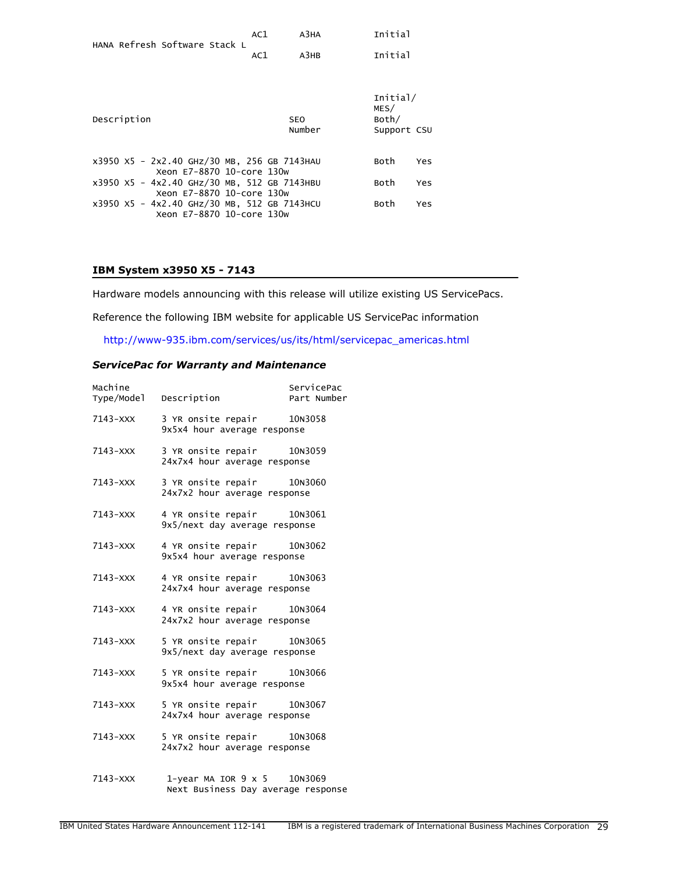| HANA Refresh Software Stack L                                            | AC1 | АЗНА                 | Initial                                  |     |
|--------------------------------------------------------------------------|-----|----------------------|------------------------------------------|-----|
|                                                                          | AC1 | A3HB                 | Initial                                  |     |
|                                                                          |     |                      |                                          |     |
| Description                                                              |     | <b>SEO</b><br>Number | Initial/<br>MES/<br>Both/<br>Support CSU |     |
| x3950 X5 - 2x2.40 GHz/30 MB, 256 GB 7143HAU<br>Xeon E7-8870 10-core 130w |     |                      | Both                                     | Yes |
| x3950 X5 - 4x2.40 GHz/30 MB, 512 GB 7143HBU<br>Xeon E7-8870 10-core 130w |     |                      | Both                                     | Yes |
| x3950 X5 - 4x2.40 GHz/30 MB, 512 GB 7143HCU<br>Xeon E7-8870 10-core 130w |     |                      | Both                                     | Yes |

# **IBM System x3950 X5 - 7143**

Hardware models announcing with this release will utilize existing US ServicePacs.

Reference the following IBM website for applicable US ServicePac information

[http://www-935.ibm.com/services/us/its/html/servicepac\\_americas.html](http://www-935.ibm.com/services/us/its/html/servicepac_americas.html)

## *ServicePac for Warranty and Maintenance*

|          | 7143-XXX 3 YR onsite repair 10N3058<br>9x5x4 hour average response       |  |
|----------|--------------------------------------------------------------------------|--|
| 7143-XXX | 3 YR onsite repair 10N3059<br>24x7x4 hour average response               |  |
|          | 7143-XXX 3 YR onsite repair 10N3060<br>24x7x2 hour average response      |  |
| 7143-XXX | 4 YR onsite repair 10N3061<br>9x5/next day average response              |  |
| 7143-XXX | 4 YR onsite repair 10N3062<br>9x5x4 hour average response                |  |
| 7143-XXX | 4 YR onsite repair 10N3063<br>24x7x4 hour average response               |  |
| 7143-XXX | 4 YR onsite repair 10N3064<br>24x7x2 hour average response               |  |
| 7143-XXX | 5 YR onsite repair 10N3065<br>9x5/next day average response              |  |
| 7143-XXX | 5 YR onsite repair 10N3066<br>9x5x4 hour average response                |  |
|          | 7143-XXX 5 YR onsite repair 10N3067<br>24x7x4 hour average response      |  |
|          | 7143-XXX 5 YR onsite repair 10N3068<br>24x7x2 hour average response      |  |
| 7143-XXX | 1-year MA IOR $9 \times 5$ 10N3069<br>Next Business Day average response |  |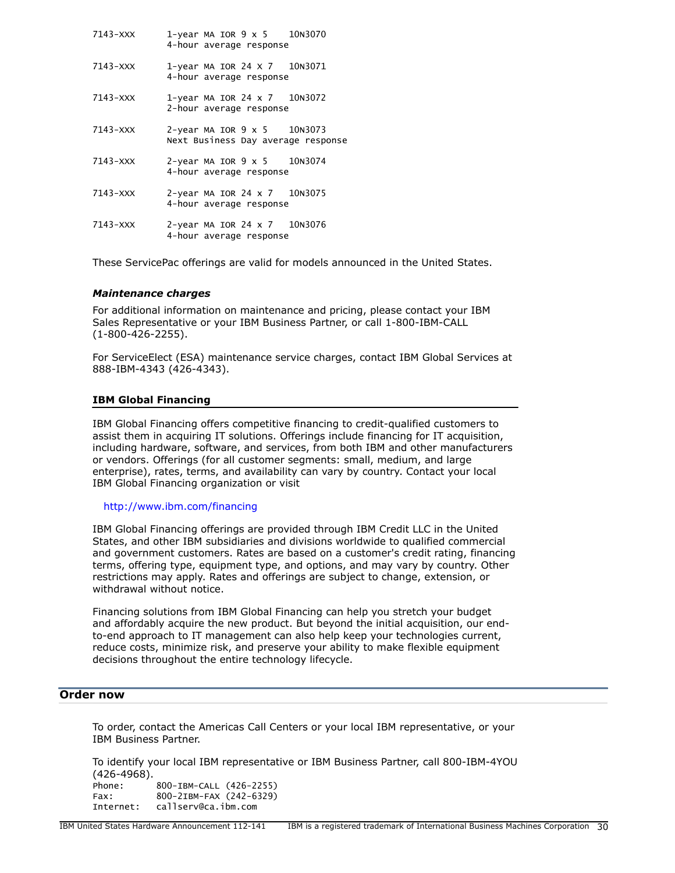| 7143-XXX     | 1-year MA IOR $9 \times 5$ 10N3070<br>4-hour average response            |
|--------------|--------------------------------------------------------------------------|
| 7143-XXX     | 1-year MA IOR 24 X 7 10N3071<br>4-hour average response                  |
| 7143-XXX     | 1-year MA IOR 24 $\times$ 7 10N3072<br>2-hour average response           |
| 7143-XXX     | 2-year MA IOR $9 \times 5$ 10N3073<br>Next Business Day average response |
| $7143 - XXX$ | 2-year MA IOR $9 \times 5$ 10N3074<br>4-hour average response            |
| 7143-XXX     | 2-year MA IOR 24 x 7 10N3075<br>4-hour average response                  |
| $7143 - XXX$ | 2-year MA IOR 24 $\times$ 7 10N3076<br>4-hour average response           |

These ServicePac offerings are valid for models announced in the United States.

#### *Maintenance charges*

For additional information on maintenance and pricing, please contact your IBM Sales Representative or your IBM Business Partner, or call 1-800-IBM-CALL (1-800-426-2255).

For ServiceElect (ESA) maintenance service charges, contact IBM Global Services at 888-IBM-4343 (426-4343).

#### **IBM Global Financing**

IBM Global Financing offers competitive financing to credit-qualified customers to assist them in acquiring IT solutions. Offerings include financing for IT acquisition, including hardware, software, and services, from both IBM and other manufacturers or vendors. Offerings (for all customer segments: small, medium, and large enterprise), rates, terms, and availability can vary by country. Contact your local IBM Global Financing organization or visit

<http://www.ibm.com/financing>

IBM Global Financing offerings are provided through IBM Credit LLC in the United States, and other IBM subsidiaries and divisions worldwide to qualified commercial and government customers. Rates are based on a customer's credit rating, financing terms, offering type, equipment type, and options, and may vary by country. Other restrictions may apply. Rates and offerings are subject to change, extension, or withdrawal without notice.

Financing solutions from IBM Global Financing can help you stretch your budget and affordably acquire the new product. But beyond the initial acquisition, our endto-end approach to IT management can also help keep your technologies current, reduce costs, minimize risk, and preserve your ability to make flexible equipment decisions throughout the entire technology lifecycle.

#### <span id="page-29-0"></span>**Order now**

To order, contact the Americas Call Centers or your local IBM representative, or your IBM Business Partner.

To identify your local IBM representative or IBM Business Partner, call 800-IBM-4YOU (426-4968). Phone: 800-IBM-CALL (426-2255) Fax: 800-2IBM-FAX (242-6329) Internet: callserv@ca.ibm.com